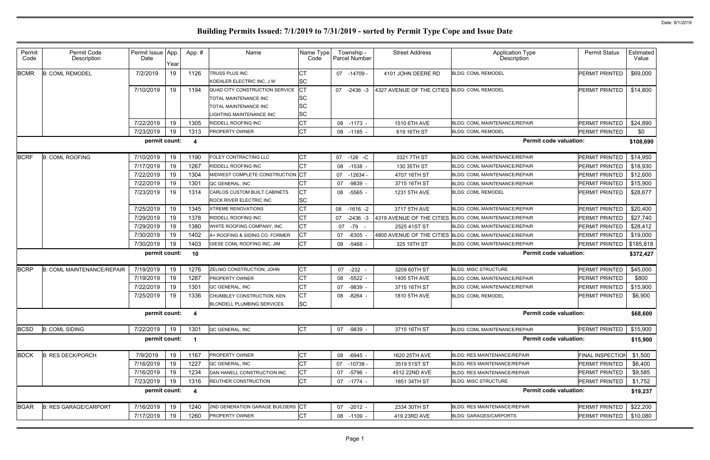| Permit<br>Code | Permit Code<br>Description        | Permit Issue   App.<br>Date | Year | App.#          | Name                                        | Name Type<br>Code      | Township -<br>Parcel Number | <b>Street Address</b>                        | <b>Application Type</b><br><b>Description</b>           | <b>Permit Status</b>  | Estimated<br>Value |
|----------------|-----------------------------------|-----------------------------|------|----------------|---------------------------------------------|------------------------|-----------------------------|----------------------------------------------|---------------------------------------------------------|-----------------------|--------------------|
| <b>BCMR</b>    | <b>B: COML REMODEL</b>            | 7/2/2019                    | 19   | 1126           | TRUSS PLUS INC<br>KOEHLER ELECTRIC INC, J W | <b>CT</b><br><b>SC</b> | 07 -14709 -                 | 4101 JOHN DEERE RD                           | <b>BLDG: COML REMODEL</b>                               | PERMIT PRINTED        | \$69,000           |
|                |                                   | 7/10/2019                   | 19   | 1194           | QUAD CITY CONSTRUCTION SERVICE              | <b>ICT</b>             | 07<br>-2436 -3              | 4327 AVENUE OF THE CITIES BLDG: COML REMODEL |                                                         | PERMIT PRINTED        | \$14,800           |
|                |                                   |                             |      |                | TOTAL MAINTENANCE INC                       | <b>SC</b>              |                             |                                              |                                                         |                       |                    |
|                |                                   |                             |      |                | <b>TOTAL MAINTENANCE INC</b>                | <b>SC</b>              |                             |                                              |                                                         |                       |                    |
|                |                                   |                             |      |                | IGHTING MAINTENANCE INC                     | <b>SC</b>              |                             |                                              |                                                         |                       |                    |
|                |                                   | 7/22/2019                   | 19   | 1305           | RIDDELL ROOFING INC                         | Iст                    | 08 -1173 -                  | 1510 6TH AVE                                 | <b>BLDG: COML MAINTENANCE/REPAIR</b>                    | <b>PERMIT PRINTED</b> | \$24,890           |
|                |                                   | 7/23/2019                   | 19   | 1313           | <b>PROPERTY OWNER</b>                       | <b>CT</b>              | 08 -1185 -                  | 619 16TH ST                                  | <b>BLDG: COML REMODEL</b>                               | PERMIT PRINTED        | \$0                |
|                |                                   | permit count:               |      | -4             |                                             |                        |                             |                                              | <b>Permit code valuation:</b>                           |                       | \$108,690          |
| <b>BCRF</b>    | <b>B: COML ROOFING</b>            | 7/10/2019                   | 19   | 1190           | FOLEY CONTRACTING LLC                       | СT                     | 07<br>$-126$ -C             | 3321 7TH ST                                  | <b>BLDG: COML MAINTENANCE/REPAIR</b>                    | PERMIT PRINTED        | \$14,950           |
|                |                                   | 7/17/2019                   | 19   | 1267           | RIDDELL ROOFING INC                         | lст                    | 08<br>-1538 -               | 130 35TH ST                                  | BLDG: COML MAINTENANCE/REPAIR                           | PERMIT PRINTED        | \$18,930           |
|                |                                   | 7/22/2019                   | 19   | 1304           | MIDWEST COMPLETE CONSTRUCTION CT            |                        | -12634 -<br>07              | 4707 16TH ST                                 | <b>BLDG: COML MAINTENANCE/REPAIR</b>                    | PERMIT PRINTED        | \$12,600           |
|                |                                   | 7/22/2019                   | 19   | 1301           | QC GENERAL, INC                             | <b>CT</b>              | $-9839$<br>07               | 3715 16TH ST                                 | BLDG: COML MAINTENANCE/REPAIR                           | PERMIT PRINTED        | \$15,900           |
|                |                                   | 7/23/2019                   | 19   | 1314           | CARLOS CUSTOM BUILT CABINETS                | IСТ                    | 08 -5565 -                  | 1231 5TH AVE                                 | <b>BLDG: COML REMODEL</b>                               | PERMIT PRINTED        | \$28,677           |
|                |                                   |                             |      |                | ROCK RIVER ELECTRIC INC                     | <b>SC</b>              |                             |                                              |                                                         |                       |                    |
|                |                                   | 7/25/2019                   | 19   | 1345           | <b>XTREME RENOVATIONS</b>                   | <b>CT</b>              | 08<br>$-1616 - 2$           | 3717 5TH AVE                                 | <b>BLDG: COML MAINTENANCE/REPAIR</b>                    | PERMIT PRINTED        | \$20,400           |
|                |                                   | 7/29/2019                   | 19   | 1378           | RIDDELL ROOFING INC                         | <b>CT</b>              | 07<br>$-2436 - 3$           |                                              | 4319 AVENUE OF THE CITIES BLDG: COML MAINTENANCE/REPAIR | PERMIT PRINTED        | \$27,740           |
|                |                                   | 7/29/2019                   | 19   | 1380           | WHITE ROOFING COMPANY, INC                  | <b>CT</b>              | 07 -79                      | 2525 41ST ST                                 | <b>BLDG: COML MAINTENANCE/REPAIR</b>                    | PERMIT PRINTED        | \$28,412           |
|                |                                   | 7/30/2019                   | 19   | 1402           | A+ ROOFING & SIDING CO. FORMER              | <b>CT</b>              | $-6305$ -<br>07             |                                              | 4800 AVENUE OF THE CITIES BLDG: COML MAINTENANCE/REPAIR | PERMIT PRINTED        | \$19,000           |
|                |                                   | 7/30/2019                   | 19   | 1403           | GIESE COML ROOFING INC, JIM                 | <b>CT</b>              | $-5468$<br>08               | 325 19TH ST                                  | BLDG: COML MAINTENANCE/REPAIR                           | PERMIT PRINTED        | \$185,818          |
|                |                                   | permit count:               |      | 10             |                                             |                        |                             |                                              | <b>Permit code valuation:</b>                           |                       | \$372,427          |
| <b>BCRP</b>    | <b>B: COML MAINTENANCE/REPAIR</b> | 7/19/2019                   | 19   | 1276           | ZELNIO CONSTRUCTION, JOHN                   | IСТ                    | 07 -232 -                   | 3209 60TH ST                                 | <b>BLDG: MISC STRUCTURE</b>                             | <b>PERMIT PRINTED</b> | \$45,000           |
|                |                                   | 7/19/2019                   | 19   | 1287           | <b>PROPERTY OWNER</b>                       | <b>CT</b>              | $-5522$<br>08               | 1405 5TH AVE                                 | BLDG: COML MAINTENANCE/REPAIR                           | PERMIT PRINTED        | \$800              |
|                |                                   | 7/22/2019                   | 19   | 1301           | QC GENERAL, INC                             | IСТ                    | -9839 -<br>07               | 3715 16TH ST                                 | BLDG: COML MAINTENANCE/REPAIR                           | PERMIT PRINTED        | \$15,900           |
|                |                                   | 7/25/2019                   | 19   | 1336           | CHUMBLEY CONSTRUCTION, KEN                  | Iст                    | -8264<br>08                 | 1810 5TH AVE                                 | <b>BLDG: COML REMODEL</b>                               | PERMIT PRINTED        | \$6,900            |
|                |                                   |                             |      |                | <b>BLONDELL PLUMBING SERVICES</b>           | <b>SC</b>              |                             |                                              |                                                         |                       |                    |
|                |                                   | permit count:               |      | -4             |                                             |                        |                             |                                              | <b>Permit code valuation:</b>                           |                       | \$68,600           |
| <b>BCSD</b>    | <b>B: COML SIDING</b>             | 7/22/2019                   | 19   | 1301           | QC GENERAL, INC                             | <b>CT</b>              | -9839 -<br>07               | 3715 16TH ST                                 | BLDG: COML MAINTENANCE/REPAIR                           | PERMIT PRINTED        | \$15,900           |
|                |                                   | permit count:               |      |                |                                             |                        |                             |                                              | <b>Permit code valuation:</b>                           |                       | \$15,900           |
| <b>BDCK</b>    | <b>B: RES DECK/PORCH</b>          | 7/9/2019                    | 19   | 1167           | PROPERTY OWNER                              | IСТ                    | $-6945 -$<br>08             | 1620 25TH AVE                                | BLDG: RES MAINTENANCE/REPAIR                            | FINAL INSPECTIOI      | \$1,500            |
|                |                                   | 7/16/2019                   | 19   | 1227           | QC GENERAL, INC                             | Iст                    | 07 -10738 -                 | 3519 51ST ST                                 | <b>BLDG: RES MAINTENANCE/REPAIR</b>                     | PERMIT PRINTED        | \$6,400            |
|                |                                   | 7/16/2019                   | 19   | 1234           | DAN HANELL CONSTRUCTION INC                 | IСТ                    | -5796 -<br>07               | 4512 22ND AVE                                | <b>BLDG: RES MAINTENANCE/REPAIR</b>                     | PERMIT PRINTED        | \$9,585            |
|                |                                   | 7/23/2019                   | 19   | 1316           | REUTHER CONSTRUCTION                        | IСТ                    | 07 -1774 -                  | 1851 34TH ST                                 | <b>BLDG: MISC STRUCTURE</b>                             | PERMIT PRINTED        | \$1,752            |
|                |                                   | permit count:               |      | $\overline{4}$ |                                             |                        |                             |                                              | <b>Permit code valuation:</b>                           |                       | \$19,237           |
| <b>BGAR</b>    | <b>B: RES GARAGE/CARPORT</b>      | 7/16/2019                   | 19   | 1240           | 2ND GENERATION GARAGE BUILDERS CT           |                        | 07 -2012 -                  | 2334 30TH ST                                 | BLDG: RES MAINTENANCE/REPAIR                            | PERMIT PRINTED        | \$22,200           |
|                |                                   | 7/17/2019                   | 19   | 1260           | PROPERTY OWNER                              | IСТ                    | 08 -1109 -                  | 419 23RD AVE                                 | <b>BLDG: GARAGES/CARPORTS</b>                           | PERMIT PRINTED        | \$10,080           |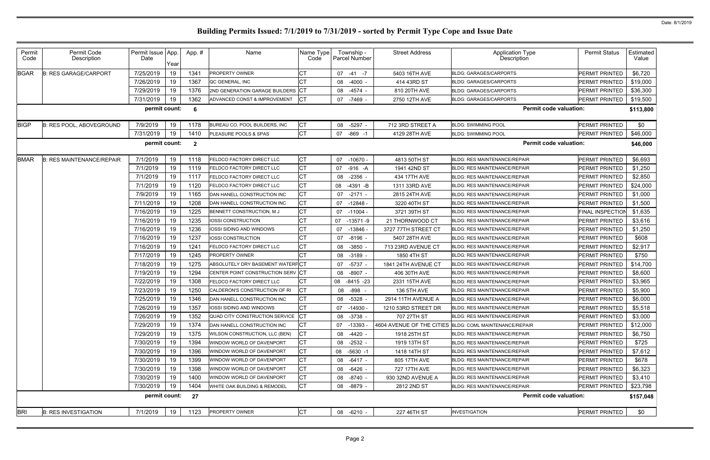| Year<br>СT<br>7/25/2019<br><b>BGAR</b><br>19<br>1341<br>\$6,720<br>$-41 - 7$<br><b>B: RES GARAGE/CARPORT</b><br><b>PROPERTY OWNER</b><br>07<br>5403 16TH AVE<br><b>BLDG: GARAGES/CARPORTS</b><br>PERMIT PRINTED<br>19<br><b>CT</b><br>7/26/2019<br>1367<br>414 43RD ST<br>PERMIT PRINTED<br>\$19,000<br>QC GENERAL, INC<br>08<br>$-4000 -$<br><b>BLDG: GARAGES/CARPORTS</b><br>19<br>1376<br>\$36,300<br>7/29/2019<br>2ND GENERATION GARAGE BUILDERS CT<br>$-4574 -$<br>810 20TH AVE<br>PERMIT PRINTED<br>08<br><b>BLDG: GARAGES/CARPORTS</b><br>19<br><b>CT</b><br>7/31/2019<br>1362<br>\$19,500<br>ADVANCED CONST & IMPROVEMENT<br>PERMIT PRINTED<br>07 -7469 -<br>2750 12TH AVE<br><b>BLDG: GARAGES/CARPORTS</b><br>permit count:<br><b>Permit code valuation:</b><br>6<br>\$113,800<br><b>CT</b><br>7/9/2019<br>19<br>1178<br>BUREAU CO. POOL BUILDERS, INC<br>712 3RD STREET A<br><b>PERMIT PRINTED</b><br>\$0<br><b>B: RES POOL, ABOVEGROUND</b><br>08<br>-5297 -<br><b>BLDG: SWIMMING POOL</b><br>Iст<br>7/31/2019<br>19<br>1410<br>PLEASURE POOLS & SPAS<br>$-869 - 1$<br>\$46,000<br>07<br>4129 28TH AVE<br><b>BLDG: SWIMMING POOL</b><br><b>PERMIT PRINTED</b><br><b>Permit code valuation:</b><br>permit count:<br>$\overline{\mathbf{2}}$<br>\$46,000<br><b>CT</b><br>19<br>7/1/2019<br>PERMIT PRINTED<br>\$6,693<br><b>B: RES MAINTENANCE/REPAIR</b><br>1118<br><b>FELDCO FACTORY DIRECT LLC</b><br>07<br>$-10670$<br>4813 50TH ST<br><b>BLDG: RES MAINTENANCE/REPAIR</b><br><b>CT</b><br>19<br>7/1/2019<br>1119<br>07<br>$-916 - A$<br>1941 42ND ST<br>PERMIT PRINTED<br>\$1,250<br><b>FELDCO FACTORY DIRECT LLC</b><br><b>BLDG: RES MAINTENANCE/REPAIR</b><br><b>CT</b><br>19<br>7/1/2019<br>1117<br>$-2356$<br>434 17TH AVE<br>PERMIT PRINTED<br>\$2,850<br><b>FELDCO FACTORY DIRECT LLC</b><br>08<br><b>BLDG: RES MAINTENANCE/REPAIR</b><br><b>CT</b><br>19<br>7/1/2019<br>1120<br>\$24,000<br>08<br>$-4391 - B$<br><b>PERMIT PRINTED</b><br><b>FELDCO FACTORY DIRECT LLC</b><br>1311 33RD AVE<br><b>BLDG: RES MAINTENANCE/REPAIR</b><br><b>CT</b><br>19<br>7/9/2019<br>\$1,000<br>1165<br>DAN HANELL CONSTRUCTION INC<br>07<br>$-2171 -$<br>2815 24TH AVE<br><b>BLDG: RES MAINTENANCE/REPAIR</b><br>PERMIT PRINTED<br>Iст<br>19<br>7/11/2019<br>1208<br>\$1,500<br>DAN HANELL CONSTRUCTION INC<br>07<br>-12848<br>3220 40TH ST<br><b>BLDG: RES MAINTENANCE/REPAIR</b><br>PERMIT PRINTED<br><b>CT</b><br>19<br>7/16/2019<br>1225<br>\$1,635<br>BENNETT CONSTRUCTION, M J<br>07<br>$-11004$<br>3721 39TH ST<br><b>BLDG: RES MAINTENANCE/REPAIR</b><br><b>FINAL INSPECTION</b><br>19<br>CT<br>7/16/2019<br>1235<br>IOSSI CONSTRUCTION<br>\$3,616<br>07<br>$-13571 - 9$<br>21 THORNWOOD CT<br><b>BLDG: RES MAINTENANCE/REPAIR</b><br>PERMIT PRINTED<br>Iст<br>19<br>7/16/2019<br>1236<br>\$1,250<br>IOSSI SIDING AND WINDOWS<br>07<br>$-13846$<br>3727 77TH STREET CT<br><b>BLDG: RES MAINTENANCE/REPAIR</b><br>PERMIT PRINTED<br><b>CT</b><br>19<br>7/16/2019<br>1237<br>\$608<br><b>IOSSI CONSTRUCTION</b><br>07<br>-8196 -<br>5407 28TH AVE<br><b>BLDG: RES MAINTENANCE/REPAIR</b><br>PERMIT PRINTED<br><b>CT</b><br>19<br>7/16/2019<br>1241<br>\$2,917<br>FELDCO FACTORY DIRECT LLC<br>08<br>$-3850$<br>713 23RD AVENUE CT<br><b>BLDG: RES MAINTENANCE/REPAIR</b><br>PERMIT PRINTED<br>19<br>7/17/2019<br>1245<br><b>PROPERTY OWNER</b><br>СT<br>1850 4TH ST<br>\$750<br>08 -3189 -<br><b>BLDG: RES MAINTENANCE/REPAIR</b><br>PERMIT PRINTED<br>19<br>7/18/2019<br>1275<br>ABSOLUTELY DRY BASEMENT WATERPCT<br>\$14,700<br>-5737 -<br>1841 24TH AVENUE CT<br>PERMIT PRINTED<br>07<br><b>BLDG: RES MAINTENANCE/REPAIR</b><br>19<br>7/19/2019<br>1294<br>CENTER POINT CONSTRUCTION SERV CT<br>\$8,600<br>08 -8907 -<br>406 30TH AVE<br><b>BLDG: RES MAINTENANCE/REPAIR</b><br>PERMIT PRINTED<br>19<br><b>CT</b><br>7/22/2019<br>1308<br>\$3,965<br>80<br>$-8415 - 23$<br>2331 15TH AVE<br>PERMIT PRINTED<br><b>FELDCO FACTORY DIRECT LLC</b><br><b>BLDG: RES MAINTENANCE/REPAIR</b><br>7/23/2019<br>19<br>1250<br>IСТ<br>08 -898 -<br>136 5TH AVE<br>PERMIT PRINTED<br>\$5,900<br>CALDERON'S CONSTRUCTION OF RI<br><b>BLDG: RES MAINTENANCE/REPAIR</b><br>19<br>CT<br>7/25/2019<br>1346<br>\$6,000<br>PERMIT PRINTED<br>DAN HANELL CONSTRUCTION INC<br>08 - 5328 -<br>2914 11TH AVENUE A<br><b>BLDG: RES MAINTENANCE/REPAIR</b><br>7/26/2019<br>19<br>CТ<br>07 -14930 -<br>1210 53RD STREET DR<br>PERMIT PRINTED<br>\$5,518<br>1357<br><b>IOSSI SIDING AND WINDOWS</b><br><b>BLDG: RES MAINTENANCE/REPAIR</b><br>7/26/2019<br>19<br>QUAD CITY CONSTRUCTION SERVICE CT<br>1352<br>08 -3738 -<br>707 27TH ST<br><b>PERMIT PRINTED</b><br>\$3,000<br><b>BLDG: RES MAINTENANCE/REPAIR</b><br>7/29/2019<br>19<br>IСТ<br>1374<br>PERMIT PRINTED<br>\$12,000<br>07 -13393 -<br>4604 AVENUE OF THE CITIES BLDG: COML MAINTENANCE/REPAIR<br>DAN HANELL CONSTRUCTION INC<br>IСТ<br>7/29/2019<br>19<br>1375<br>-4420 -<br>\$6,750<br>WILSON CONSTRUCTION, LLC (BEN)<br>08<br>1918 25TH ST<br><b>BLDG: RES MAINTENANCE/REPAIR</b><br>PERMIT PRINTED<br>7/30/2019<br>19<br>1394<br>IСТ<br>WINDOW WORLD OF DAVENPORT<br>1919 13TH ST<br><b>BLDG: RES MAINTENANCE/REPAIR</b><br>PERMIT PRINTED<br>\$725<br>08 -2532 -<br><b>ICT</b><br>7/30/2019<br>19<br>1396<br>\$7,612<br>WINDOW WORLD OF DAVENPORT<br>08 -5630 -1<br>PERMIT PRINTED<br>1418 14TH ST<br><b>BLDG: RES MAINTENANCE/REPAIR</b><br><b>ICT</b><br>7/30/2019<br>19<br>1399<br>\$678<br>WINDOW WORLD OF DAVENPORT<br>08 -6417 -<br>805 17TH AVE<br><b>BLDG: RES MAINTENANCE/REPAIR</b><br>PERMIT PRINTED<br>IСТ<br>19<br>1398<br>7/30/2019<br>08 -6426 -<br>\$6,323<br>WINDOW WORLD OF DAVENPORT<br>727 17TH AVE<br><b>BLDG: RES MAINTENANCE/REPAIR</b><br>PERMIT PRINTED<br>7/30/2019<br>19<br>1400<br>IСТ<br>WINDOW WORLD OF DAVENPORT<br>08 -8740 -<br><b>BLDG: RES MAINTENANCE/REPAIR</b><br>PERMIT PRINTED<br>\$3,410<br>930 32ND AVENUE A<br><b>CT</b><br>7/30/2019<br>19<br>1404<br>\$23,798<br>WHITE OAK BUILDING & REMODEL<br>08 -8879 -<br>2812 2ND ST<br><b>BLDG: RES MAINTENANCE/REPAIR</b><br>PERMIT PRINTED<br><b>Permit code valuation:</b><br>permit count:<br>27<br><b>CT</b><br>19<br>PROPERTY OWNER<br>\$0<br>7/1/2019<br>1123<br>227 46TH ST<br><b>INVESTIGATION</b><br>PERMIT PRINTED<br><b>B: RES INVESTIGATION</b><br>08 -6210 - | Permit<br>Code | Permit Code<br>Description | Permit Issue<br>Date | App. | App.# | Name | Name Type<br>Code | Township -<br>Parcel Number | <b>Street Address</b> | <b>Application Type</b><br>Description | <b>Permit Status</b> | Estimated<br>Value |
|----------------------------------------------------------------------------------------------------------------------------------------------------------------------------------------------------------------------------------------------------------------------------------------------------------------------------------------------------------------------------------------------------------------------------------------------------------------------------------------------------------------------------------------------------------------------------------------------------------------------------------------------------------------------------------------------------------------------------------------------------------------------------------------------------------------------------------------------------------------------------------------------------------------------------------------------------------------------------------------------------------------------------------------------------------------------------------------------------------------------------------------------------------------------------------------------------------------------------------------------------------------------------------------------------------------------------------------------------------------------------------------------------------------------------------------------------------------------------------------------------------------------------------------------------------------------------------------------------------------------------------------------------------------------------------------------------------------------------------------------------------------------------------------------------------------------------------------------------------------------------------------------------------------------------------------------------------------------------------------------------------------------------------------------------------------------------------------------------------------------------------------------------------------------------------------------------------------------------------------------------------------------------------------------------------------------------------------------------------------------------------------------------------------------------------------------------------------------------------------------------------------------------------------------------------------------------------------------------------------------------------------------------------------------------------------------------------------------------------------------------------------------------------------------------------------------------------------------------------------------------------------------------------------------------------------------------------------------------------------------------------------------------------------------------------------------------------------------------------------------------------------------------------------------------------------------------------------------------------------------------------------------------------------------------------------------------------------------------------------------------------------------------------------------------------------------------------------------------------------------------------------------------------------------------------------------------------------------------------------------------------------------------------------------------------------------------------------------------------------------------------------------------------------------------------------------------------------------------------------------------------------------------------------------------------------------------------------------------------------------------------------------------------------------------------------------------------------------------------------------------------------------------------------------------------------------------------------------------------------------------------------------------------------------------------------------------------------------------------------------------------------------------------------------------------------------------------------------------------------------------------------------------------------------------------------------------------------------------------------------------------------------------------------------------------------------------------------------------------------------------------------------------------------------------------------------------------------------------------------------------------------------------------------------------------------------------------------------------------------------------------------------------------------------------------------------------------------------------------------------------------------------------------------------------------------------------------------------------------------------------------------------------------------------------------------------------------------------------------------------------------------------------------------------------------------------------------------------------------------------------------------------------------------------------------------------------------------------------------------------------------------------------------------------------------------------------------------------------------------------------------------------------------------------------------------------------------------------------------------------------------------------------------------------------------------------------------------------------------------------------------------------------------------------------------------------------------------------------------------------------------------------------------------------------------------------------------------------------------------------------------------------------------------------------------------------|----------------|----------------------------|----------------------|------|-------|------|-------------------|-----------------------------|-----------------------|----------------------------------------|----------------------|--------------------|
|                                                                                                                                                                                                                                                                                                                                                                                                                                                                                                                                                                                                                                                                                                                                                                                                                                                                                                                                                                                                                                                                                                                                                                                                                                                                                                                                                                                                                                                                                                                                                                                                                                                                                                                                                                                                                                                                                                                                                                                                                                                                                                                                                                                                                                                                                                                                                                                                                                                                                                                                                                                                                                                                                                                                                                                                                                                                                                                                                                                                                                                                                                                                                                                                                                                                                                                                                                                                                                                                                                                                                                                                                                                                                                                                                                                                                                                                                                                                                                                                                                                                                                                                                                                                                                                                                                                                                                                                                                                                                                                                                                                                                                                                                                                                                                                                                                                                                                                                                                                                                                                                                                                                                                                                                                                                                                                                                                                                                                                                                                                                                                                                                                                                                                                                                                                                                                                                                                                                                                                                                                                                                                                                                                                                                                                                                                                      |                |                            |                      |      |       |      |                   |                             |                       |                                        |                      |                    |
|                                                                                                                                                                                                                                                                                                                                                                                                                                                                                                                                                                                                                                                                                                                                                                                                                                                                                                                                                                                                                                                                                                                                                                                                                                                                                                                                                                                                                                                                                                                                                                                                                                                                                                                                                                                                                                                                                                                                                                                                                                                                                                                                                                                                                                                                                                                                                                                                                                                                                                                                                                                                                                                                                                                                                                                                                                                                                                                                                                                                                                                                                                                                                                                                                                                                                                                                                                                                                                                                                                                                                                                                                                                                                                                                                                                                                                                                                                                                                                                                                                                                                                                                                                                                                                                                                                                                                                                                                                                                                                                                                                                                                                                                                                                                                                                                                                                                                                                                                                                                                                                                                                                                                                                                                                                                                                                                                                                                                                                                                                                                                                                                                                                                                                                                                                                                                                                                                                                                                                                                                                                                                                                                                                                                                                                                                                                      |                |                            |                      |      |       |      |                   |                             |                       |                                        |                      |                    |
|                                                                                                                                                                                                                                                                                                                                                                                                                                                                                                                                                                                                                                                                                                                                                                                                                                                                                                                                                                                                                                                                                                                                                                                                                                                                                                                                                                                                                                                                                                                                                                                                                                                                                                                                                                                                                                                                                                                                                                                                                                                                                                                                                                                                                                                                                                                                                                                                                                                                                                                                                                                                                                                                                                                                                                                                                                                                                                                                                                                                                                                                                                                                                                                                                                                                                                                                                                                                                                                                                                                                                                                                                                                                                                                                                                                                                                                                                                                                                                                                                                                                                                                                                                                                                                                                                                                                                                                                                                                                                                                                                                                                                                                                                                                                                                                                                                                                                                                                                                                                                                                                                                                                                                                                                                                                                                                                                                                                                                                                                                                                                                                                                                                                                                                                                                                                                                                                                                                                                                                                                                                                                                                                                                                                                                                                                                                      |                |                            |                      |      |       |      |                   |                             |                       |                                        |                      |                    |
|                                                                                                                                                                                                                                                                                                                                                                                                                                                                                                                                                                                                                                                                                                                                                                                                                                                                                                                                                                                                                                                                                                                                                                                                                                                                                                                                                                                                                                                                                                                                                                                                                                                                                                                                                                                                                                                                                                                                                                                                                                                                                                                                                                                                                                                                                                                                                                                                                                                                                                                                                                                                                                                                                                                                                                                                                                                                                                                                                                                                                                                                                                                                                                                                                                                                                                                                                                                                                                                                                                                                                                                                                                                                                                                                                                                                                                                                                                                                                                                                                                                                                                                                                                                                                                                                                                                                                                                                                                                                                                                                                                                                                                                                                                                                                                                                                                                                                                                                                                                                                                                                                                                                                                                                                                                                                                                                                                                                                                                                                                                                                                                                                                                                                                                                                                                                                                                                                                                                                                                                                                                                                                                                                                                                                                                                                                                      |                |                            |                      |      |       |      |                   |                             |                       |                                        |                      |                    |
|                                                                                                                                                                                                                                                                                                                                                                                                                                                                                                                                                                                                                                                                                                                                                                                                                                                                                                                                                                                                                                                                                                                                                                                                                                                                                                                                                                                                                                                                                                                                                                                                                                                                                                                                                                                                                                                                                                                                                                                                                                                                                                                                                                                                                                                                                                                                                                                                                                                                                                                                                                                                                                                                                                                                                                                                                                                                                                                                                                                                                                                                                                                                                                                                                                                                                                                                                                                                                                                                                                                                                                                                                                                                                                                                                                                                                                                                                                                                                                                                                                                                                                                                                                                                                                                                                                                                                                                                                                                                                                                                                                                                                                                                                                                                                                                                                                                                                                                                                                                                                                                                                                                                                                                                                                                                                                                                                                                                                                                                                                                                                                                                                                                                                                                                                                                                                                                                                                                                                                                                                                                                                                                                                                                                                                                                                                                      |                |                            |                      |      |       |      |                   |                             |                       |                                        |                      |                    |
|                                                                                                                                                                                                                                                                                                                                                                                                                                                                                                                                                                                                                                                                                                                                                                                                                                                                                                                                                                                                                                                                                                                                                                                                                                                                                                                                                                                                                                                                                                                                                                                                                                                                                                                                                                                                                                                                                                                                                                                                                                                                                                                                                                                                                                                                                                                                                                                                                                                                                                                                                                                                                                                                                                                                                                                                                                                                                                                                                                                                                                                                                                                                                                                                                                                                                                                                                                                                                                                                                                                                                                                                                                                                                                                                                                                                                                                                                                                                                                                                                                                                                                                                                                                                                                                                                                                                                                                                                                                                                                                                                                                                                                                                                                                                                                                                                                                                                                                                                                                                                                                                                                                                                                                                                                                                                                                                                                                                                                                                                                                                                                                                                                                                                                                                                                                                                                                                                                                                                                                                                                                                                                                                                                                                                                                                                                                      | <b>BIGP</b>    |                            |                      |      |       |      |                   |                             |                       |                                        |                      |                    |
|                                                                                                                                                                                                                                                                                                                                                                                                                                                                                                                                                                                                                                                                                                                                                                                                                                                                                                                                                                                                                                                                                                                                                                                                                                                                                                                                                                                                                                                                                                                                                                                                                                                                                                                                                                                                                                                                                                                                                                                                                                                                                                                                                                                                                                                                                                                                                                                                                                                                                                                                                                                                                                                                                                                                                                                                                                                                                                                                                                                                                                                                                                                                                                                                                                                                                                                                                                                                                                                                                                                                                                                                                                                                                                                                                                                                                                                                                                                                                                                                                                                                                                                                                                                                                                                                                                                                                                                                                                                                                                                                                                                                                                                                                                                                                                                                                                                                                                                                                                                                                                                                                                                                                                                                                                                                                                                                                                                                                                                                                                                                                                                                                                                                                                                                                                                                                                                                                                                                                                                                                                                                                                                                                                                                                                                                                                                      |                |                            |                      |      |       |      |                   |                             |                       |                                        |                      |                    |
|                                                                                                                                                                                                                                                                                                                                                                                                                                                                                                                                                                                                                                                                                                                                                                                                                                                                                                                                                                                                                                                                                                                                                                                                                                                                                                                                                                                                                                                                                                                                                                                                                                                                                                                                                                                                                                                                                                                                                                                                                                                                                                                                                                                                                                                                                                                                                                                                                                                                                                                                                                                                                                                                                                                                                                                                                                                                                                                                                                                                                                                                                                                                                                                                                                                                                                                                                                                                                                                                                                                                                                                                                                                                                                                                                                                                                                                                                                                                                                                                                                                                                                                                                                                                                                                                                                                                                                                                                                                                                                                                                                                                                                                                                                                                                                                                                                                                                                                                                                                                                                                                                                                                                                                                                                                                                                                                                                                                                                                                                                                                                                                                                                                                                                                                                                                                                                                                                                                                                                                                                                                                                                                                                                                                                                                                                                                      |                |                            |                      |      |       |      |                   |                             |                       |                                        |                      |                    |
|                                                                                                                                                                                                                                                                                                                                                                                                                                                                                                                                                                                                                                                                                                                                                                                                                                                                                                                                                                                                                                                                                                                                                                                                                                                                                                                                                                                                                                                                                                                                                                                                                                                                                                                                                                                                                                                                                                                                                                                                                                                                                                                                                                                                                                                                                                                                                                                                                                                                                                                                                                                                                                                                                                                                                                                                                                                                                                                                                                                                                                                                                                                                                                                                                                                                                                                                                                                                                                                                                                                                                                                                                                                                                                                                                                                                                                                                                                                                                                                                                                                                                                                                                                                                                                                                                                                                                                                                                                                                                                                                                                                                                                                                                                                                                                                                                                                                                                                                                                                                                                                                                                                                                                                                                                                                                                                                                                                                                                                                                                                                                                                                                                                                                                                                                                                                                                                                                                                                                                                                                                                                                                                                                                                                                                                                                                                      | <b>BMAR</b>    |                            |                      |      |       |      |                   |                             |                       |                                        |                      |                    |
|                                                                                                                                                                                                                                                                                                                                                                                                                                                                                                                                                                                                                                                                                                                                                                                                                                                                                                                                                                                                                                                                                                                                                                                                                                                                                                                                                                                                                                                                                                                                                                                                                                                                                                                                                                                                                                                                                                                                                                                                                                                                                                                                                                                                                                                                                                                                                                                                                                                                                                                                                                                                                                                                                                                                                                                                                                                                                                                                                                                                                                                                                                                                                                                                                                                                                                                                                                                                                                                                                                                                                                                                                                                                                                                                                                                                                                                                                                                                                                                                                                                                                                                                                                                                                                                                                                                                                                                                                                                                                                                                                                                                                                                                                                                                                                                                                                                                                                                                                                                                                                                                                                                                                                                                                                                                                                                                                                                                                                                                                                                                                                                                                                                                                                                                                                                                                                                                                                                                                                                                                                                                                                                                                                                                                                                                                                                      |                |                            |                      |      |       |      |                   |                             |                       |                                        |                      |                    |
|                                                                                                                                                                                                                                                                                                                                                                                                                                                                                                                                                                                                                                                                                                                                                                                                                                                                                                                                                                                                                                                                                                                                                                                                                                                                                                                                                                                                                                                                                                                                                                                                                                                                                                                                                                                                                                                                                                                                                                                                                                                                                                                                                                                                                                                                                                                                                                                                                                                                                                                                                                                                                                                                                                                                                                                                                                                                                                                                                                                                                                                                                                                                                                                                                                                                                                                                                                                                                                                                                                                                                                                                                                                                                                                                                                                                                                                                                                                                                                                                                                                                                                                                                                                                                                                                                                                                                                                                                                                                                                                                                                                                                                                                                                                                                                                                                                                                                                                                                                                                                                                                                                                                                                                                                                                                                                                                                                                                                                                                                                                                                                                                                                                                                                                                                                                                                                                                                                                                                                                                                                                                                                                                                                                                                                                                                                                      |                |                            |                      |      |       |      |                   |                             |                       |                                        |                      |                    |
|                                                                                                                                                                                                                                                                                                                                                                                                                                                                                                                                                                                                                                                                                                                                                                                                                                                                                                                                                                                                                                                                                                                                                                                                                                                                                                                                                                                                                                                                                                                                                                                                                                                                                                                                                                                                                                                                                                                                                                                                                                                                                                                                                                                                                                                                                                                                                                                                                                                                                                                                                                                                                                                                                                                                                                                                                                                                                                                                                                                                                                                                                                                                                                                                                                                                                                                                                                                                                                                                                                                                                                                                                                                                                                                                                                                                                                                                                                                                                                                                                                                                                                                                                                                                                                                                                                                                                                                                                                                                                                                                                                                                                                                                                                                                                                                                                                                                                                                                                                                                                                                                                                                                                                                                                                                                                                                                                                                                                                                                                                                                                                                                                                                                                                                                                                                                                                                                                                                                                                                                                                                                                                                                                                                                                                                                                                                      |                |                            |                      |      |       |      |                   |                             |                       |                                        |                      |                    |
|                                                                                                                                                                                                                                                                                                                                                                                                                                                                                                                                                                                                                                                                                                                                                                                                                                                                                                                                                                                                                                                                                                                                                                                                                                                                                                                                                                                                                                                                                                                                                                                                                                                                                                                                                                                                                                                                                                                                                                                                                                                                                                                                                                                                                                                                                                                                                                                                                                                                                                                                                                                                                                                                                                                                                                                                                                                                                                                                                                                                                                                                                                                                                                                                                                                                                                                                                                                                                                                                                                                                                                                                                                                                                                                                                                                                                                                                                                                                                                                                                                                                                                                                                                                                                                                                                                                                                                                                                                                                                                                                                                                                                                                                                                                                                                                                                                                                                                                                                                                                                                                                                                                                                                                                                                                                                                                                                                                                                                                                                                                                                                                                                                                                                                                                                                                                                                                                                                                                                                                                                                                                                                                                                                                                                                                                                                                      |                |                            |                      |      |       |      |                   |                             |                       |                                        |                      |                    |
|                                                                                                                                                                                                                                                                                                                                                                                                                                                                                                                                                                                                                                                                                                                                                                                                                                                                                                                                                                                                                                                                                                                                                                                                                                                                                                                                                                                                                                                                                                                                                                                                                                                                                                                                                                                                                                                                                                                                                                                                                                                                                                                                                                                                                                                                                                                                                                                                                                                                                                                                                                                                                                                                                                                                                                                                                                                                                                                                                                                                                                                                                                                                                                                                                                                                                                                                                                                                                                                                                                                                                                                                                                                                                                                                                                                                                                                                                                                                                                                                                                                                                                                                                                                                                                                                                                                                                                                                                                                                                                                                                                                                                                                                                                                                                                                                                                                                                                                                                                                                                                                                                                                                                                                                                                                                                                                                                                                                                                                                                                                                                                                                                                                                                                                                                                                                                                                                                                                                                                                                                                                                                                                                                                                                                                                                                                                      |                |                            |                      |      |       |      |                   |                             |                       |                                        |                      |                    |
|                                                                                                                                                                                                                                                                                                                                                                                                                                                                                                                                                                                                                                                                                                                                                                                                                                                                                                                                                                                                                                                                                                                                                                                                                                                                                                                                                                                                                                                                                                                                                                                                                                                                                                                                                                                                                                                                                                                                                                                                                                                                                                                                                                                                                                                                                                                                                                                                                                                                                                                                                                                                                                                                                                                                                                                                                                                                                                                                                                                                                                                                                                                                                                                                                                                                                                                                                                                                                                                                                                                                                                                                                                                                                                                                                                                                                                                                                                                                                                                                                                                                                                                                                                                                                                                                                                                                                                                                                                                                                                                                                                                                                                                                                                                                                                                                                                                                                                                                                                                                                                                                                                                                                                                                                                                                                                                                                                                                                                                                                                                                                                                                                                                                                                                                                                                                                                                                                                                                                                                                                                                                                                                                                                                                                                                                                                                      |                |                            |                      |      |       |      |                   |                             |                       |                                        |                      |                    |
|                                                                                                                                                                                                                                                                                                                                                                                                                                                                                                                                                                                                                                                                                                                                                                                                                                                                                                                                                                                                                                                                                                                                                                                                                                                                                                                                                                                                                                                                                                                                                                                                                                                                                                                                                                                                                                                                                                                                                                                                                                                                                                                                                                                                                                                                                                                                                                                                                                                                                                                                                                                                                                                                                                                                                                                                                                                                                                                                                                                                                                                                                                                                                                                                                                                                                                                                                                                                                                                                                                                                                                                                                                                                                                                                                                                                                                                                                                                                                                                                                                                                                                                                                                                                                                                                                                                                                                                                                                                                                                                                                                                                                                                                                                                                                                                                                                                                                                                                                                                                                                                                                                                                                                                                                                                                                                                                                                                                                                                                                                                                                                                                                                                                                                                                                                                                                                                                                                                                                                                                                                                                                                                                                                                                                                                                                                                      |                |                            |                      |      |       |      |                   |                             |                       |                                        |                      |                    |
|                                                                                                                                                                                                                                                                                                                                                                                                                                                                                                                                                                                                                                                                                                                                                                                                                                                                                                                                                                                                                                                                                                                                                                                                                                                                                                                                                                                                                                                                                                                                                                                                                                                                                                                                                                                                                                                                                                                                                                                                                                                                                                                                                                                                                                                                                                                                                                                                                                                                                                                                                                                                                                                                                                                                                                                                                                                                                                                                                                                                                                                                                                                                                                                                                                                                                                                                                                                                                                                                                                                                                                                                                                                                                                                                                                                                                                                                                                                                                                                                                                                                                                                                                                                                                                                                                                                                                                                                                                                                                                                                                                                                                                                                                                                                                                                                                                                                                                                                                                                                                                                                                                                                                                                                                                                                                                                                                                                                                                                                                                                                                                                                                                                                                                                                                                                                                                                                                                                                                                                                                                                                                                                                                                                                                                                                                                                      |                |                            |                      |      |       |      |                   |                             |                       |                                        |                      |                    |
|                                                                                                                                                                                                                                                                                                                                                                                                                                                                                                                                                                                                                                                                                                                                                                                                                                                                                                                                                                                                                                                                                                                                                                                                                                                                                                                                                                                                                                                                                                                                                                                                                                                                                                                                                                                                                                                                                                                                                                                                                                                                                                                                                                                                                                                                                                                                                                                                                                                                                                                                                                                                                                                                                                                                                                                                                                                                                                                                                                                                                                                                                                                                                                                                                                                                                                                                                                                                                                                                                                                                                                                                                                                                                                                                                                                                                                                                                                                                                                                                                                                                                                                                                                                                                                                                                                                                                                                                                                                                                                                                                                                                                                                                                                                                                                                                                                                                                                                                                                                                                                                                                                                                                                                                                                                                                                                                                                                                                                                                                                                                                                                                                                                                                                                                                                                                                                                                                                                                                                                                                                                                                                                                                                                                                                                                                                                      |                |                            |                      |      |       |      |                   |                             |                       |                                        |                      |                    |
|                                                                                                                                                                                                                                                                                                                                                                                                                                                                                                                                                                                                                                                                                                                                                                                                                                                                                                                                                                                                                                                                                                                                                                                                                                                                                                                                                                                                                                                                                                                                                                                                                                                                                                                                                                                                                                                                                                                                                                                                                                                                                                                                                                                                                                                                                                                                                                                                                                                                                                                                                                                                                                                                                                                                                                                                                                                                                                                                                                                                                                                                                                                                                                                                                                                                                                                                                                                                                                                                                                                                                                                                                                                                                                                                                                                                                                                                                                                                                                                                                                                                                                                                                                                                                                                                                                                                                                                                                                                                                                                                                                                                                                                                                                                                                                                                                                                                                                                                                                                                                                                                                                                                                                                                                                                                                                                                                                                                                                                                                                                                                                                                                                                                                                                                                                                                                                                                                                                                                                                                                                                                                                                                                                                                                                                                                                                      |                |                            |                      |      |       |      |                   |                             |                       |                                        |                      |                    |
|                                                                                                                                                                                                                                                                                                                                                                                                                                                                                                                                                                                                                                                                                                                                                                                                                                                                                                                                                                                                                                                                                                                                                                                                                                                                                                                                                                                                                                                                                                                                                                                                                                                                                                                                                                                                                                                                                                                                                                                                                                                                                                                                                                                                                                                                                                                                                                                                                                                                                                                                                                                                                                                                                                                                                                                                                                                                                                                                                                                                                                                                                                                                                                                                                                                                                                                                                                                                                                                                                                                                                                                                                                                                                                                                                                                                                                                                                                                                                                                                                                                                                                                                                                                                                                                                                                                                                                                                                                                                                                                                                                                                                                                                                                                                                                                                                                                                                                                                                                                                                                                                                                                                                                                                                                                                                                                                                                                                                                                                                                                                                                                                                                                                                                                                                                                                                                                                                                                                                                                                                                                                                                                                                                                                                                                                                                                      |                |                            |                      |      |       |      |                   |                             |                       |                                        |                      |                    |
|                                                                                                                                                                                                                                                                                                                                                                                                                                                                                                                                                                                                                                                                                                                                                                                                                                                                                                                                                                                                                                                                                                                                                                                                                                                                                                                                                                                                                                                                                                                                                                                                                                                                                                                                                                                                                                                                                                                                                                                                                                                                                                                                                                                                                                                                                                                                                                                                                                                                                                                                                                                                                                                                                                                                                                                                                                                                                                                                                                                                                                                                                                                                                                                                                                                                                                                                                                                                                                                                                                                                                                                                                                                                                                                                                                                                                                                                                                                                                                                                                                                                                                                                                                                                                                                                                                                                                                                                                                                                                                                                                                                                                                                                                                                                                                                                                                                                                                                                                                                                                                                                                                                                                                                                                                                                                                                                                                                                                                                                                                                                                                                                                                                                                                                                                                                                                                                                                                                                                                                                                                                                                                                                                                                                                                                                                                                      |                |                            |                      |      |       |      |                   |                             |                       |                                        |                      |                    |
|                                                                                                                                                                                                                                                                                                                                                                                                                                                                                                                                                                                                                                                                                                                                                                                                                                                                                                                                                                                                                                                                                                                                                                                                                                                                                                                                                                                                                                                                                                                                                                                                                                                                                                                                                                                                                                                                                                                                                                                                                                                                                                                                                                                                                                                                                                                                                                                                                                                                                                                                                                                                                                                                                                                                                                                                                                                                                                                                                                                                                                                                                                                                                                                                                                                                                                                                                                                                                                                                                                                                                                                                                                                                                                                                                                                                                                                                                                                                                                                                                                                                                                                                                                                                                                                                                                                                                                                                                                                                                                                                                                                                                                                                                                                                                                                                                                                                                                                                                                                                                                                                                                                                                                                                                                                                                                                                                                                                                                                                                                                                                                                                                                                                                                                                                                                                                                                                                                                                                                                                                                                                                                                                                                                                                                                                                                                      |                |                            |                      |      |       |      |                   |                             |                       |                                        |                      |                    |
|                                                                                                                                                                                                                                                                                                                                                                                                                                                                                                                                                                                                                                                                                                                                                                                                                                                                                                                                                                                                                                                                                                                                                                                                                                                                                                                                                                                                                                                                                                                                                                                                                                                                                                                                                                                                                                                                                                                                                                                                                                                                                                                                                                                                                                                                                                                                                                                                                                                                                                                                                                                                                                                                                                                                                                                                                                                                                                                                                                                                                                                                                                                                                                                                                                                                                                                                                                                                                                                                                                                                                                                                                                                                                                                                                                                                                                                                                                                                                                                                                                                                                                                                                                                                                                                                                                                                                                                                                                                                                                                                                                                                                                                                                                                                                                                                                                                                                                                                                                                                                                                                                                                                                                                                                                                                                                                                                                                                                                                                                                                                                                                                                                                                                                                                                                                                                                                                                                                                                                                                                                                                                                                                                                                                                                                                                                                      |                |                            |                      |      |       |      |                   |                             |                       |                                        |                      |                    |
|                                                                                                                                                                                                                                                                                                                                                                                                                                                                                                                                                                                                                                                                                                                                                                                                                                                                                                                                                                                                                                                                                                                                                                                                                                                                                                                                                                                                                                                                                                                                                                                                                                                                                                                                                                                                                                                                                                                                                                                                                                                                                                                                                                                                                                                                                                                                                                                                                                                                                                                                                                                                                                                                                                                                                                                                                                                                                                                                                                                                                                                                                                                                                                                                                                                                                                                                                                                                                                                                                                                                                                                                                                                                                                                                                                                                                                                                                                                                                                                                                                                                                                                                                                                                                                                                                                                                                                                                                                                                                                                                                                                                                                                                                                                                                                                                                                                                                                                                                                                                                                                                                                                                                                                                                                                                                                                                                                                                                                                                                                                                                                                                                                                                                                                                                                                                                                                                                                                                                                                                                                                                                                                                                                                                                                                                                                                      |                |                            |                      |      |       |      |                   |                             |                       |                                        |                      |                    |
|                                                                                                                                                                                                                                                                                                                                                                                                                                                                                                                                                                                                                                                                                                                                                                                                                                                                                                                                                                                                                                                                                                                                                                                                                                                                                                                                                                                                                                                                                                                                                                                                                                                                                                                                                                                                                                                                                                                                                                                                                                                                                                                                                                                                                                                                                                                                                                                                                                                                                                                                                                                                                                                                                                                                                                                                                                                                                                                                                                                                                                                                                                                                                                                                                                                                                                                                                                                                                                                                                                                                                                                                                                                                                                                                                                                                                                                                                                                                                                                                                                                                                                                                                                                                                                                                                                                                                                                                                                                                                                                                                                                                                                                                                                                                                                                                                                                                                                                                                                                                                                                                                                                                                                                                                                                                                                                                                                                                                                                                                                                                                                                                                                                                                                                                                                                                                                                                                                                                                                                                                                                                                                                                                                                                                                                                                                                      |                |                            |                      |      |       |      |                   |                             |                       |                                        |                      |                    |
|                                                                                                                                                                                                                                                                                                                                                                                                                                                                                                                                                                                                                                                                                                                                                                                                                                                                                                                                                                                                                                                                                                                                                                                                                                                                                                                                                                                                                                                                                                                                                                                                                                                                                                                                                                                                                                                                                                                                                                                                                                                                                                                                                                                                                                                                                                                                                                                                                                                                                                                                                                                                                                                                                                                                                                                                                                                                                                                                                                                                                                                                                                                                                                                                                                                                                                                                                                                                                                                                                                                                                                                                                                                                                                                                                                                                                                                                                                                                                                                                                                                                                                                                                                                                                                                                                                                                                                                                                                                                                                                                                                                                                                                                                                                                                                                                                                                                                                                                                                                                                                                                                                                                                                                                                                                                                                                                                                                                                                                                                                                                                                                                                                                                                                                                                                                                                                                                                                                                                                                                                                                                                                                                                                                                                                                                                                                      |                |                            |                      |      |       |      |                   |                             |                       |                                        |                      |                    |
|                                                                                                                                                                                                                                                                                                                                                                                                                                                                                                                                                                                                                                                                                                                                                                                                                                                                                                                                                                                                                                                                                                                                                                                                                                                                                                                                                                                                                                                                                                                                                                                                                                                                                                                                                                                                                                                                                                                                                                                                                                                                                                                                                                                                                                                                                                                                                                                                                                                                                                                                                                                                                                                                                                                                                                                                                                                                                                                                                                                                                                                                                                                                                                                                                                                                                                                                                                                                                                                                                                                                                                                                                                                                                                                                                                                                                                                                                                                                                                                                                                                                                                                                                                                                                                                                                                                                                                                                                                                                                                                                                                                                                                                                                                                                                                                                                                                                                                                                                                                                                                                                                                                                                                                                                                                                                                                                                                                                                                                                                                                                                                                                                                                                                                                                                                                                                                                                                                                                                                                                                                                                                                                                                                                                                                                                                                                      |                |                            |                      |      |       |      |                   |                             |                       |                                        |                      |                    |
|                                                                                                                                                                                                                                                                                                                                                                                                                                                                                                                                                                                                                                                                                                                                                                                                                                                                                                                                                                                                                                                                                                                                                                                                                                                                                                                                                                                                                                                                                                                                                                                                                                                                                                                                                                                                                                                                                                                                                                                                                                                                                                                                                                                                                                                                                                                                                                                                                                                                                                                                                                                                                                                                                                                                                                                                                                                                                                                                                                                                                                                                                                                                                                                                                                                                                                                                                                                                                                                                                                                                                                                                                                                                                                                                                                                                                                                                                                                                                                                                                                                                                                                                                                                                                                                                                                                                                                                                                                                                                                                                                                                                                                                                                                                                                                                                                                                                                                                                                                                                                                                                                                                                                                                                                                                                                                                                                                                                                                                                                                                                                                                                                                                                                                                                                                                                                                                                                                                                                                                                                                                                                                                                                                                                                                                                                                                      |                |                            |                      |      |       |      |                   |                             |                       |                                        |                      |                    |
|                                                                                                                                                                                                                                                                                                                                                                                                                                                                                                                                                                                                                                                                                                                                                                                                                                                                                                                                                                                                                                                                                                                                                                                                                                                                                                                                                                                                                                                                                                                                                                                                                                                                                                                                                                                                                                                                                                                                                                                                                                                                                                                                                                                                                                                                                                                                                                                                                                                                                                                                                                                                                                                                                                                                                                                                                                                                                                                                                                                                                                                                                                                                                                                                                                                                                                                                                                                                                                                                                                                                                                                                                                                                                                                                                                                                                                                                                                                                                                                                                                                                                                                                                                                                                                                                                                                                                                                                                                                                                                                                                                                                                                                                                                                                                                                                                                                                                                                                                                                                                                                                                                                                                                                                                                                                                                                                                                                                                                                                                                                                                                                                                                                                                                                                                                                                                                                                                                                                                                                                                                                                                                                                                                                                                                                                                                                      |                |                            |                      |      |       |      |                   |                             |                       |                                        |                      |                    |
|                                                                                                                                                                                                                                                                                                                                                                                                                                                                                                                                                                                                                                                                                                                                                                                                                                                                                                                                                                                                                                                                                                                                                                                                                                                                                                                                                                                                                                                                                                                                                                                                                                                                                                                                                                                                                                                                                                                                                                                                                                                                                                                                                                                                                                                                                                                                                                                                                                                                                                                                                                                                                                                                                                                                                                                                                                                                                                                                                                                                                                                                                                                                                                                                                                                                                                                                                                                                                                                                                                                                                                                                                                                                                                                                                                                                                                                                                                                                                                                                                                                                                                                                                                                                                                                                                                                                                                                                                                                                                                                                                                                                                                                                                                                                                                                                                                                                                                                                                                                                                                                                                                                                                                                                                                                                                                                                                                                                                                                                                                                                                                                                                                                                                                                                                                                                                                                                                                                                                                                                                                                                                                                                                                                                                                                                                                                      |                |                            |                      |      |       |      |                   |                             |                       |                                        |                      |                    |
|                                                                                                                                                                                                                                                                                                                                                                                                                                                                                                                                                                                                                                                                                                                                                                                                                                                                                                                                                                                                                                                                                                                                                                                                                                                                                                                                                                                                                                                                                                                                                                                                                                                                                                                                                                                                                                                                                                                                                                                                                                                                                                                                                                                                                                                                                                                                                                                                                                                                                                                                                                                                                                                                                                                                                                                                                                                                                                                                                                                                                                                                                                                                                                                                                                                                                                                                                                                                                                                                                                                                                                                                                                                                                                                                                                                                                                                                                                                                                                                                                                                                                                                                                                                                                                                                                                                                                                                                                                                                                                                                                                                                                                                                                                                                                                                                                                                                                                                                                                                                                                                                                                                                                                                                                                                                                                                                                                                                                                                                                                                                                                                                                                                                                                                                                                                                                                                                                                                                                                                                                                                                                                                                                                                                                                                                                                                      |                |                            |                      |      |       |      |                   |                             |                       |                                        |                      |                    |
|                                                                                                                                                                                                                                                                                                                                                                                                                                                                                                                                                                                                                                                                                                                                                                                                                                                                                                                                                                                                                                                                                                                                                                                                                                                                                                                                                                                                                                                                                                                                                                                                                                                                                                                                                                                                                                                                                                                                                                                                                                                                                                                                                                                                                                                                                                                                                                                                                                                                                                                                                                                                                                                                                                                                                                                                                                                                                                                                                                                                                                                                                                                                                                                                                                                                                                                                                                                                                                                                                                                                                                                                                                                                                                                                                                                                                                                                                                                                                                                                                                                                                                                                                                                                                                                                                                                                                                                                                                                                                                                                                                                                                                                                                                                                                                                                                                                                                                                                                                                                                                                                                                                                                                                                                                                                                                                                                                                                                                                                                                                                                                                                                                                                                                                                                                                                                                                                                                                                                                                                                                                                                                                                                                                                                                                                                                                      |                |                            |                      |      |       |      |                   |                             |                       |                                        |                      |                    |
|                                                                                                                                                                                                                                                                                                                                                                                                                                                                                                                                                                                                                                                                                                                                                                                                                                                                                                                                                                                                                                                                                                                                                                                                                                                                                                                                                                                                                                                                                                                                                                                                                                                                                                                                                                                                                                                                                                                                                                                                                                                                                                                                                                                                                                                                                                                                                                                                                                                                                                                                                                                                                                                                                                                                                                                                                                                                                                                                                                                                                                                                                                                                                                                                                                                                                                                                                                                                                                                                                                                                                                                                                                                                                                                                                                                                                                                                                                                                                                                                                                                                                                                                                                                                                                                                                                                                                                                                                                                                                                                                                                                                                                                                                                                                                                                                                                                                                                                                                                                                                                                                                                                                                                                                                                                                                                                                                                                                                                                                                                                                                                                                                                                                                                                                                                                                                                                                                                                                                                                                                                                                                                                                                                                                                                                                                                                      |                |                            |                      |      |       |      |                   |                             |                       |                                        |                      |                    |
|                                                                                                                                                                                                                                                                                                                                                                                                                                                                                                                                                                                                                                                                                                                                                                                                                                                                                                                                                                                                                                                                                                                                                                                                                                                                                                                                                                                                                                                                                                                                                                                                                                                                                                                                                                                                                                                                                                                                                                                                                                                                                                                                                                                                                                                                                                                                                                                                                                                                                                                                                                                                                                                                                                                                                                                                                                                                                                                                                                                                                                                                                                                                                                                                                                                                                                                                                                                                                                                                                                                                                                                                                                                                                                                                                                                                                                                                                                                                                                                                                                                                                                                                                                                                                                                                                                                                                                                                                                                                                                                                                                                                                                                                                                                                                                                                                                                                                                                                                                                                                                                                                                                                                                                                                                                                                                                                                                                                                                                                                                                                                                                                                                                                                                                                                                                                                                                                                                                                                                                                                                                                                                                                                                                                                                                                                                                      |                |                            |                      |      |       |      |                   |                             |                       |                                        |                      |                    |
|                                                                                                                                                                                                                                                                                                                                                                                                                                                                                                                                                                                                                                                                                                                                                                                                                                                                                                                                                                                                                                                                                                                                                                                                                                                                                                                                                                                                                                                                                                                                                                                                                                                                                                                                                                                                                                                                                                                                                                                                                                                                                                                                                                                                                                                                                                                                                                                                                                                                                                                                                                                                                                                                                                                                                                                                                                                                                                                                                                                                                                                                                                                                                                                                                                                                                                                                                                                                                                                                                                                                                                                                                                                                                                                                                                                                                                                                                                                                                                                                                                                                                                                                                                                                                                                                                                                                                                                                                                                                                                                                                                                                                                                                                                                                                                                                                                                                                                                                                                                                                                                                                                                                                                                                                                                                                                                                                                                                                                                                                                                                                                                                                                                                                                                                                                                                                                                                                                                                                                                                                                                                                                                                                                                                                                                                                                                      |                |                            |                      |      |       |      |                   |                             |                       |                                        |                      |                    |
|                                                                                                                                                                                                                                                                                                                                                                                                                                                                                                                                                                                                                                                                                                                                                                                                                                                                                                                                                                                                                                                                                                                                                                                                                                                                                                                                                                                                                                                                                                                                                                                                                                                                                                                                                                                                                                                                                                                                                                                                                                                                                                                                                                                                                                                                                                                                                                                                                                                                                                                                                                                                                                                                                                                                                                                                                                                                                                                                                                                                                                                                                                                                                                                                                                                                                                                                                                                                                                                                                                                                                                                                                                                                                                                                                                                                                                                                                                                                                                                                                                                                                                                                                                                                                                                                                                                                                                                                                                                                                                                                                                                                                                                                                                                                                                                                                                                                                                                                                                                                                                                                                                                                                                                                                                                                                                                                                                                                                                                                                                                                                                                                                                                                                                                                                                                                                                                                                                                                                                                                                                                                                                                                                                                                                                                                                                                      |                |                            |                      |      |       |      |                   |                             |                       |                                        |                      | \$157,048          |
|                                                                                                                                                                                                                                                                                                                                                                                                                                                                                                                                                                                                                                                                                                                                                                                                                                                                                                                                                                                                                                                                                                                                                                                                                                                                                                                                                                                                                                                                                                                                                                                                                                                                                                                                                                                                                                                                                                                                                                                                                                                                                                                                                                                                                                                                                                                                                                                                                                                                                                                                                                                                                                                                                                                                                                                                                                                                                                                                                                                                                                                                                                                                                                                                                                                                                                                                                                                                                                                                                                                                                                                                                                                                                                                                                                                                                                                                                                                                                                                                                                                                                                                                                                                                                                                                                                                                                                                                                                                                                                                                                                                                                                                                                                                                                                                                                                                                                                                                                                                                                                                                                                                                                                                                                                                                                                                                                                                                                                                                                                                                                                                                                                                                                                                                                                                                                                                                                                                                                                                                                                                                                                                                                                                                                                                                                                                      | <b>BRI</b>     |                            |                      |      |       |      |                   |                             |                       |                                        |                      |                    |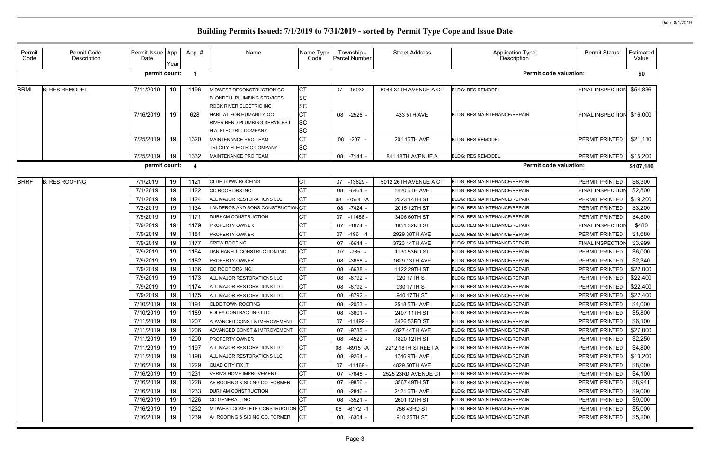| Permit<br>Code | Permit Code<br>Description | Permit Issue App.<br>Date | Year | App. #                  | Name                                                                                                   | Name Type<br>Code                   | Township -<br>Parcel Number | <b>Street Address</b> | Application Type<br>Description     | <b>Permit Status</b>    | Estimated<br>Value |
|----------------|----------------------------|---------------------------|------|-------------------------|--------------------------------------------------------------------------------------------------------|-------------------------------------|-----------------------------|-----------------------|-------------------------------------|-------------------------|--------------------|
|                |                            | permit count:             |      | $\overline{\mathbf{1}}$ |                                                                                                        |                                     |                             |                       | <b>Permit code valuation:</b>       |                         | \$0                |
| <b>BRML</b>    | <b>B: RES REMODEL</b>      | 7/11/2019                 | 19   | 1196                    | MIDWEST RECONSTRUCTION CO<br><b>BLONDELL PLUMBING SERVICES</b><br>ROCK RIVER ELECTRIC INC              | <b>CT</b><br><b>SC</b><br><b>SC</b> | 07 -15033                   | 6044 34TH AVENUE A CT | <b>BLDG: RES REMODEL</b>            | FINAL INSPECTION        | \$54,836           |
|                |                            | 7/16/2019                 | 19   | 628                     | <b>HABITAT FOR HUMANITY-QC</b><br><b>RIVER BEND PLUMBING SERVICES L</b><br><b>H A ELECTRIC COMPANY</b> | <b>CT</b><br><b>SC</b><br><b>SC</b> | 08 -2526 -                  | 433 5TH AVE           | <b>BLDG: RES MAINTENANCE/REPAIR</b> | <b>FINAL INSPECTION</b> | \$16,000           |
|                |                            | 7/25/2019                 | 19   | 1320                    | MAINTENANCE PRO TEAM<br>TRI-CITY ELECTRIC COMPANY                                                      | <b>CT</b><br><b>SC</b>              | 08 -207 -                   | 201 16TH AVE          | <b>BLDG: RES REMODEL</b>            | PERMIT PRINTED          | \$21,110           |
|                |                            | 7/25/2019                 | 19   | 1332                    | MAINTENANCE PRO TEAM                                                                                   | Iст                                 | 08 -7144 -                  | 841 18TH AVENUE A     | <b>BLDG: RES REMODEL</b>            | PERMIT PRINTED          | \$15,200           |
|                |                            | permit count:             |      | -4                      |                                                                                                        |                                     |                             |                       | <b>Permit code valuation:</b>       |                         | \$107,146          |
| <b>BRRF</b>    | <b>B: RES ROOFING</b>      | 7/1/2019                  | 19   | 1121                    | <b>OLDE TOWN ROOFING</b>                                                                               | <b>CT</b>                           | 07<br>$-13629$              | 5012 26TH AVENUE A CT | BLDG: RES MAINTENANCE/REPAIR        | PERMIT PRINTED          | \$8,300            |
|                |                            | 7/1/2019                  | 19   | 1122                    | QC ROOF DRS INC.                                                                                       | <b>CT</b>                           | -6464 -<br>08               | 5420 6TH AVE          | <b>BLDG: RES MAINTENANCE/REPAIR</b> | <b>FINAL INSPECTION</b> | \$2,800            |
|                |                            | 7/1/2019                  | 19   | 1124                    | ALL MAJOR RESTORATIONS LLC                                                                             | <b>CT</b>                           | 08<br>$-7564 - A$           | 2523 14TH ST          | <b>BLDG: RES MAINTENANCE/REPAIR</b> | PERMIT PRINTED          | \$19,200           |
|                |                            | 7/2/2019                  | 19   | 1134                    | LANDEROS AND SONS CONSTRUCTION CT                                                                      |                                     | 08<br>-7424 -               | 2015 12TH ST          | <b>BLDG: RES MAINTENANCE/REPAIR</b> | PERMIT PRINTED          | \$3,200            |
|                |                            | 7/9/2019                  | 19   | 1171                    | DURHAM CONSTRUCTION                                                                                    | <b>CT</b>                           | 07<br>$-11458$              | 3406 60TH ST          | BLDG: RES MAINTENANCE/REPAIR        | PERMIT PRINTED          | \$4,800            |
|                |                            | 7/9/2019                  | 19   | 1179                    | <b>PROPERTY OWNER</b>                                                                                  | <b>CT</b>                           | -1674 -<br>07               | 1851 32ND ST          | <b>BLDG: RES MAINTENANCE/REPAIR</b> | <b>FINAL INSPECTION</b> | \$480              |
|                |                            | 7/9/2019                  | 19   | 1181                    | <b>PROPERTY OWNER</b>                                                                                  | <b>CT</b>                           | $-196 - 1$<br>07            | 2929 38TH AVE         | <b>BLDG: RES MAINTENANCE/REPAIR</b> | PERMIT PRINTED          | \$1,680            |
|                |                            | 7/9/2019                  | 19   | 1177                    | <b>CREW ROOFING</b>                                                                                    | <b>CT</b>                           | -6644 -<br>07               | 3723 14TH AVE         | BLDG: RES MAINTENANCE/REPAIR        | FINAL INSPECTION        | \$3,999            |
|                |                            | 7/9/2019                  | 19   | 1164                    | DAN HANELL CONSTRUCTION INC                                                                            | <b>CT</b>                           | -765 -<br>07                | 1130 53RD ST          | <b>BLDG: RES MAINTENANCE/REPAIR</b> | PERMIT PRINTED          | \$6,000            |
|                |                            | 7/9/2019                  | 19   | 1182                    | <b>PROPERTY OWNER</b>                                                                                  | <b>CT</b>                           | $-3658$ -<br>08             | 1629 13TH AVE         | <b>BLDG: RES MAINTENANCE/REPAIR</b> | PERMIT PRINTED          | \$2,340            |
|                |                            | 7/9/2019                  | 19   | 1166                    | QC ROOF DRS INC.                                                                                       | <b>CT</b>                           | -6638<br>08                 | 1122 29TH ST          | BLDG: RES MAINTENANCE/REPAIR        | PERMIT PRINTED          | \$22,000           |
|                |                            | 7/9/2019                  | 19   | 1173                    | ALL MAJOR RESTORATIONS LLC                                                                             | <b>CT</b>                           | 08<br>-8792 -               | 920 17TH ST           | <b>BLDG: RES MAINTENANCE/REPAIR</b> | PERMIT PRINTED          | \$22,400           |
|                |                            | 7/9/2019                  | 19   | 1174                    | ALL MAJOR RESTORATIONS LLC                                                                             | <b>CT</b>                           | $-8792 -$<br>08             | 930 17TH ST           | <b>BLDG: RES MAINTENANCE/REPAIR</b> | PERMIT PRINTED          | \$22,400           |
|                |                            | 7/9/2019                  | 19   | 1175                    | ALL MAJOR RESTORATIONS LLC                                                                             | СT                                  | 08<br>-8792 -               | 940 17TH ST           | <b>BLDG: RES MAINTENANCE/REPAIR</b> | PERMIT PRINTED          | \$22,400           |
|                |                            | 7/10/2019                 | 19   | 1191                    | <b>OLDE TOWN ROOFING</b>                                                                               | <b>CT</b>                           | 08<br>-2053 -               | 2518 5TH AVE          | BLDG: RES MAINTENANCE/REPAIR        | PERMIT PRINTED          | \$4,000            |
|                |                            | 7/10/2019                 | 19   | 1189                    | <b>FOLEY CONTRACTING LLC</b>                                                                           | <b>ICT</b>                          | 08 -3601 -                  | 2407 11TH ST          | <b>BLDG: RES MAINTENANCE/REPAIR</b> | PERMIT PRINTED          | \$5,800            |
|                |                            | 7/11/2019                 | 19   | 1207                    | ADVANCED CONST & IMPROVEMENT                                                                           | <b>ICT</b>                          | 07 -11492 -                 | 3426 53RD ST          | <b>BLDG: RES MAINTENANCE/REPAIR</b> | PERMIT PRINTED          | \$6,100            |
|                |                            | 7/11/2019                 | 19   | 1206                    | ADVANCED CONST & IMPROVEMENT                                                                           | <b>ICT</b>                          | 07 -9735 -                  | 4827 44TH AVE         | <b>BLDG: RES MAINTENANCE/REPAIR</b> | PERMIT PRINTED          | \$27,000           |
|                |                            | 7/11/2019                 | 19   | 1200                    | <b>PROPERTY OWNER</b>                                                                                  | Iст                                 | -4522 -<br>08               | 1820 12TH ST          | <b>BLDG: RES MAINTENANCE/REPAIR</b> | PERMIT PRINTED          | \$2,250            |
|                |                            | 7/11/2019                 | 19   | 1197                    | ALL MAJOR RESTORATIONS LLC                                                                             | СT                                  | 08 -6915 -A                 | 2212 18TH STREET A    | <b>BLDG: RES MAINTENANCE/REPAIR</b> | PERMIT PRINTED          | \$4,800            |
|                |                            | 7/11/2019                 | 19   | 1198                    | ALL MAJOR RESTORATIONS LLC                                                                             | СT                                  | -9264 -<br>08               | 1746 9TH AVE          | BLDG: RES MAINTENANCE/REPAIR        | PERMIT PRINTED          | \$13,200           |
|                |                            | 7/16/2019                 | 19   | 1229                    | <b>QUAD CITY FIX IT</b>                                                                                | <b>CT</b>                           | 07 -11169 -                 | 4829 50TH AVE         | <b>BLDG: RES MAINTENANCE/REPAIR</b> | PERMIT PRINTED          | \$8,000            |
|                |                            | 7/16/2019                 | 19   | 1231                    | <b>VERN'S HOME IMPROVEMENT</b>                                                                         | <b>CT</b>                           | 07<br>-7648 -               | 2525 23RD AVENUE CT   | <b>BLDG: RES MAINTENANCE/REPAIR</b> | <b>PERMIT PRINTED</b>   | \$4,100            |
|                |                            | 7/16/2019                 | 19   | 1228                    | A+ ROOFING & SIDING CO. FORMER                                                                         | СT                                  | 07 -9856 -                  | 3567 49TH ST          | <b>BLDG: RES MAINTENANCE/REPAIR</b> | PERMIT PRINTED          | \$8,941            |
|                |                            | 7/16/2019                 | 19   | 1233                    | <b>DURHAM CONSTRUCTION</b>                                                                             | <b>CT</b>                           | 08 -2846 -                  | 2121 6TH AVE          | <b>BLDG: RES MAINTENANCE/REPAIR</b> | PERMIT PRINTED          | \$9,000            |
|                |                            | 7/16/2019                 | 19   | 1226                    | QC GENERAL, INC                                                                                        | IСT                                 | 08 -3521 -                  | 2601 12TH ST          | <b>BLDG: RES MAINTENANCE/REPAIR</b> | <b>PERMIT PRINTED</b>   | \$9,000            |
|                |                            | 7/16/2019                 | 19   | 1232                    | MIDWEST COMPLETE CONSTRUCTION CT                                                                       |                                     | -6172 -1<br>08              | 756 43RD ST           | <b>BLDG: RES MAINTENANCE/REPAIR</b> | <b>PERMIT PRINTED</b>   | \$5,000            |
|                |                            | 7/16/2019                 | 19   | 1239                    | A+ ROOFING & SIDING CO. FORMER                                                                         | <b>CT</b>                           | 08 -6304 -                  | 910 25TH ST           | <b>BLDG: RES MAINTENANCE/REPAIR</b> | PERMIT PRINTED          | \$5,200            |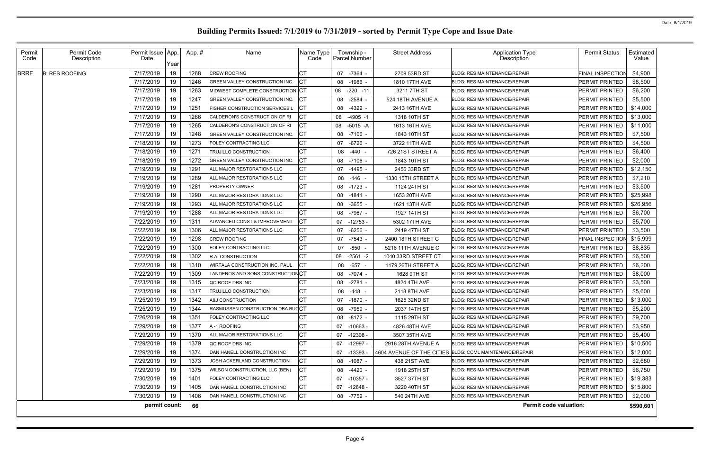| Permit<br>Code | Permit Code<br>Description | Permit Issue App.<br>Date | Year | App.# | Name                                    | Name Type<br>Code | Township -<br>Parcel Number | <b>Street Address</b> | <b>Application Type</b><br>Description                  | <b>Permit Status</b>    | Estimated<br>Value |
|----------------|----------------------------|---------------------------|------|-------|-----------------------------------------|-------------------|-----------------------------|-----------------------|---------------------------------------------------------|-------------------------|--------------------|
| <b>BRRF</b>    | <b>B: RES ROOFING</b>      | 7/17/2019                 | 19   | 1268  | <b>CREW ROOFING</b>                     |                   | 07 -7364 -                  | 2709 53RD ST          | <b>BLDG: RES MAINTENANCE/REPAIR</b>                     | <b>FINAL INSPECTION</b> | \$4,900            |
|                |                            | 7/17/2019                 | 19   | 1246  | GREEN VALLEY CONSTRUCTION INC.          | IСТ               | 08 -1986 -                  | 1810 17TH AVE         | <b>BLDG: RES MAINTENANCE/REPAIR</b>                     | PERMIT PRINTED          | \$8,500            |
|                |                            | 7/17/2019                 | 19   | 1263  | MIDWEST COMPLETE CONSTRUCTION CT        |                   | $-220 - 11$<br>08           | 3211 7TH ST           | <b>BLDG: RES MAINTENANCE/REPAIR</b>                     | PERMIT PRINTED          | \$6,200            |
|                |                            | 7/17/2019                 | 19   | 1247  | GREEN VALLEY CONSTRUCTION INC.          | СT                | $-2584 -$<br>08             | 524 18TH AVENUE A     | <b>BLDG: RES MAINTENANCE/REPAIR</b>                     | PERMIT PRINTED          | \$5,500            |
|                |                            | 7/17/2019                 | 19   | 1251  | <b>FISHER CONSTRUCTION SERVICES L</b>   | <b>ICT</b>        | 08<br>$-4322 -$             | 2413 16TH AVE         | <b>BLDG: RES MAINTENANCE/REPAIR</b>                     | PERMIT PRINTED          | \$14,000           |
|                |                            | 7/17/2019                 | 19   | 1266  | CALDERON'S CONSTRUCTION OF RI           | IСТ               | $-4905 - 1$<br>08           | 1318 10TH ST          | <b>BLDG: RES MAINTENANCE/REPAIR</b>                     | PERMIT PRINTED          | \$13,000           |
|                |                            | 7/17/2019                 | 19   | 1265  | CALDERON'S CONSTRUCTION OF RI           | IСТ               | 08<br>$-5015 - A$           | 1613 16TH AVE         | <b>BLDG: RES MAINTENANCE/REPAIR</b>                     | PERMIT PRINTED          | \$11,000           |
|                |                            | 7/17/2019                 | 19   | 1248  | GREEN VALLEY CONSTRUCTION INC.          | <b>ICT</b>        | $-7106$<br>08               | 1843 10TH ST          | <b>BLDG: RES MAINTENANCE/REPAIR</b>                     | PERMIT PRINTED          | \$7,500            |
|                |                            | 7/18/2019                 | 19   | 1273  | FOLEY CONTRACTING LLC                   | <b>CT</b>         | $-6726$<br>07               | 3722 11TH AVE         | <b>BLDG: RES MAINTENANCE/REPAIR</b>                     | PERMIT PRINTED          | \$4,500            |
|                |                            | 7/18/2019                 | 19   | 1271  | <b>TRUJILLO CONSTRUCTION</b>            | <b>CT</b>         | $-440 -$<br>08              | 726 21ST STREET A     | <b>BLDG: RES MAINTENANCE/REPAIR</b>                     | PERMIT PRINTED          | \$6,400            |
|                |                            | 7/18/2019                 | 19   | 1272  | GREEN VALLEY CONSTRUCTION INC.          | Iст               | $-7106$ .<br>08             | 1843 10TH ST          | <b>BLDG: RES MAINTENANCE/REPAIR</b>                     | PERMIT PRINTED          | \$2,000            |
|                |                            | 7/19/2019                 | 19   | 1291  | ALL MAJOR RESTORATIONS LLC              | <b>CT</b>         | 07<br>$-1495$               | 2456 33RD ST          | <b>BLDG: RES MAINTENANCE/REPAIR</b>                     | PERMIT PRINTED          | \$12,150           |
|                |                            | 7/19/2019                 | 19   | 1289  | ALL MAJOR RESTORATIONS LLC              | <b>CT</b>         | $-146$<br>08                | 1330 15TH STREET A    | <b>BLDG: RES MAINTENANCE/REPAIR</b>                     | PERMIT PRINTED          | \$7,210            |
|                |                            | 7/19/2019                 | 19   | 1281  | <b>PROPERTY OWNER</b>                   | CT                | 08 -1723 -                  | 1124 24TH ST          | <b>BLDG: RES MAINTENANCE/REPAIR</b>                     | PERMIT PRINTED          | \$3,500            |
|                |                            | 7/19/2019                 | 19   | 1290  | ALL MAJOR RESTORATIONS LLC              | CT                | -1841 -<br>08               | 1653 20TH AVE         | <b>BLDG: RES MAINTENANCE/REPAIR</b>                     | PERMIT PRINTED          | \$25,998           |
|                |                            | 7/19/2019                 | 19   | 1293  | ALL MAJOR RESTORATIONS LLC              | <b>CT</b>         | $-3655$<br>08               | 1621 13TH AVE         | <b>BLDG: RES MAINTENANCE/REPAIR</b>                     | PERMIT PRINTED          | \$26,956           |
|                |                            | 7/19/2019                 | 19   | 1288  | ALL MAJOR RESTORATIONS LLC              | <b>CT</b>         | -7967 -<br>08               | 1927 14TH ST          | <b>BLDG: RES MAINTENANCE/REPAIR</b>                     | PERMIT PRINTED          | \$6,700            |
|                |                            | 7/22/2019                 | 19   | 1311  | ADVANCED CONST & IMPROVEMENT            | <b>ICT</b>        | $-12753$<br>07              | 5302 17TH AVE         | <b>BLDG: RES MAINTENANCE/REPAIR</b>                     | PERMIT PRINTED          | \$5,700            |
|                |                            | 7/22/2019                 | 19   | 1306  | ALL MAJOR RESTORATIONS LLC              | <b>CT</b>         | $-6256$ .<br>07             | 2419 47TH ST          | <b>BLDG: RES MAINTENANCE/REPAIR</b>                     | PERMIT PRINTED          | \$3,500            |
|                |                            | 7/22/2019                 | 19   | 1298  | CREW ROOFING                            | <b>CT</b>         | $-7543$ -<br>07             | 2400 18TH STREET C    | <b>BLDG: RES MAINTENANCE/REPAIR</b>                     | <b>FINAL INSPECTIOI</b> | \$15,999           |
|                |                            | 7/22/2019                 | 19   | 1300  | FOLEY CONTRACTING LLC                   | CT                | $-850$<br>07                | 5216 11TH AVENUE C    | BLDG: RES MAINTENANCE/REPAIR                            | PERMIT PRINTED          | \$8,835            |
|                |                            | 7/22/2019                 | 19   | 1302  | R.A. CONSTRUCTION                       | <b>CT</b>         | 08<br>$-2561 - 2$           | 1040 33RD STREET CT   | <b>BLDG: RES MAINTENANCE/REPAIR</b>                     | PERMIT PRINTED          | \$6,500            |
|                |                            | 7/22/2019                 | 19   | 1310  | WIRTALA CONSTRUCTION INC, PAUL          | CT                | $-657 -$<br>08              | 1179 26TH STREET A    | <b>BLDG: RES MAINTENANCE/REPAIR</b>                     | PERMIT PRINTED          | \$6,200            |
|                |                            | 7/22/2019                 | 19   | 1309  | ANDEROS AND SONS CONSTRUCTION CT        |                   | 08<br>-7074 -               | 1628 9TH ST           | <b>BLDG: RES MAINTENANCE/REPAIR</b>                     | PERMIT PRINTED          | \$8,000            |
|                |                            | 7/23/2019                 | 19   | 1315  | QC ROOF DRS INC.                        | CT                | $-2781 -$<br>08             | 4824 4TH AVE          | <b>BLDG: RES MAINTENANCE/REPAIR</b>                     | PERMIT PRINTED          | \$3,500            |
|                |                            | 7/23/2019                 | 19   | 1317  | <b>TRUJILLO CONSTRUCTION</b>            | <b>CT</b>         | 08<br>-448                  | 2118 8TH AVE          | <b>BLDG: RES MAINTENANCE/REPAIR</b>                     | PERMIT PRINTED          | \$5,600            |
|                |                            | 7/25/2019                 | 19   | 1342  | A&J CONSTRUCTION                        | <b>CT</b>         | 07 -1870 -                  | 1625 32ND ST          | <b>BLDG: RES MAINTENANCE/REPAIR</b>                     | PERMIT PRINTED          | \$13,000           |
|                |                            | 7/25/2019                 | 19   | 1344  | <b>RASMUSSEN CONSTRUCTION DBA BUCCT</b> |                   | 08 -7959 -                  | 2037 14TH ST          | <b>BLDG: RES MAINTENANCE/REPAIR</b>                     | PERMIT PRINTED          | \$5,200            |
|                |                            | 7/26/2019                 | 19   | 1351  | FOLEY CONTRACTING LLC                   | <b>CT</b>         | 08 -8172 -                  | 1115 29TH ST          | <b>BLDG: RES MAINTENANCE/REPAIR</b>                     | PERMIT PRINTED          | \$9,700            |
|                |                            | 7/29/2019                 | 19   | 1377  | A-1 ROOFING                             | <b>CT</b>         | $-10663 -$<br>07            | 4826 48TH AVE         | <b>BLDG: RES MAINTENANCE/REPAIR</b>                     | PERMIT PRINTED          | \$3,950            |
|                |                            | 7/29/2019                 | 19   | 1370  | ALL MAJOR RESTORATIONS LLC              | СT                | 07<br>-12308 -              | 3507 35TH AVE         | <b>BLDG: RES MAINTENANCE/REPAIR</b>                     | PERMIT PRINTED          | \$5,400            |
|                |                            | 7/29/2019                 | 19   | 1379  | QC ROOF DRS INC.                        | <b>CT</b>         | -12997 -<br>07              | 2916 28TH AVENUE A    | <b>BLDG: RES MAINTENANCE/REPAIR</b>                     | PERMIT PRINTED          | \$10,500           |
|                |                            | 7/29/2019                 | 19   | 1374  | DAN HANELL CONSTRUCTION INC             | <b>CT</b>         | -13393<br>07                |                       | 4604 AVENUE OF THE CITIES BLDG: COML MAINTENANCE/REPAIR | PERMIT PRINTED          | \$12,000           |
|                |                            | 7/29/2019                 | 19   | 1373  | JOSH ACKERLAND CONSTRUCTION             | <b>ICT</b>        | 08 -1087 -                  | 438 21ST AVE          | <b>BLDG: RES MAINTENANCE/REPAIR</b>                     | PERMIT PRINTED          | \$2,680            |
|                |                            | 7/29/2019                 | 19   | 1375  | WILSON CONSTRUCTION, LLC (BEN)          | IСТ               | 08 -4420 -                  | 1918 25TH ST          | <b>BLDG: RES MAINTENANCE/REPAIR</b>                     | PERMIT PRINTED          | \$6,750            |
|                |                            | 7/30/2019                 | 19   | 1401  | FOLEY CONTRACTING LLC                   | <b>ICT</b>        | -10357 -<br>07              | 3527 37TH ST          | <b>BLDG: RES MAINTENANCE/REPAIR</b>                     | PERMIT PRINTED          | \$19,383           |
|                |                            | 7/30/2019                 | 19   | 1405  | DAN HANELL CONSTRUCTION INC             | <b>CT</b>         | 07 -12848 -                 | 3220 40TH ST          | <b>BLDG: RES MAINTENANCE/REPAIR</b>                     | PERMIT PRINTED          | \$15,800           |
|                |                            | 7/30/2019                 | 19   | 1406  | DAN HANELL CONSTRUCTION INC             | <b>ICT</b>        | 08 -7752 -                  | 540 24TH AVE          | <b>BLDG: RES MAINTENANCE/REPAIR</b>                     | PERMIT PRINTED          | \$2,000            |
|                |                            | permit count:             |      | 66    |                                         |                   |                             |                       | <b>Permit code valuation:</b>                           |                         | \$590,601          |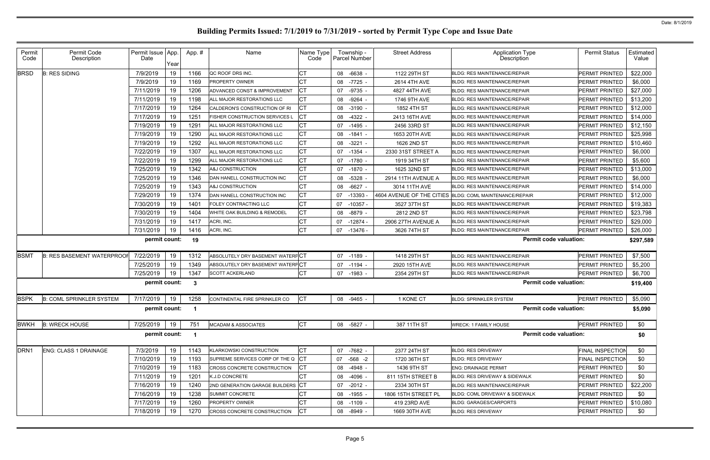| Permit<br>Code   | Permit Code<br>Description        | Permit Issue App<br>Date | Year | App.# | Name                               | Name Type<br>Code | Township -<br>Parcel Number | <b>Street Address</b> | Application Type<br>Description                         | <b>Permit Status</b>    | Estimated<br>Value |
|------------------|-----------------------------------|--------------------------|------|-------|------------------------------------|-------------------|-----------------------------|-----------------------|---------------------------------------------------------|-------------------------|--------------------|
| <b>BRSD</b>      | <b>B: RES SIDING</b>              | 7/9/2019                 | 19   | 1166  | QC ROOF DRS INC.                   | СT                | 08<br>-6638                 | 1122 29TH ST          | <b>BLDG: RES MAINTENANCE/REPAIR</b>                     | PERMIT PRINTED          | \$22,000           |
|                  |                                   | 7/9/2019                 | 19   | 1169  | <b>PROPERTY OWNER</b>              | СT                | $-7725$<br>08               | 2614 4TH AVE          | <b>BLDG: RES MAINTENANCE/REPAIR</b>                     | PERMIT PRINTED          | \$6,000            |
|                  |                                   | 7/11/2019                | 19   | 1206  | ADVANCED CONST & IMPROVEMENT       |                   | $-9735$<br>07               | 4827 44TH AVE         | <b>BLDG: RES MAINTENANCE/REPAIR</b>                     | PERMIT PRINTED          | \$27,000           |
|                  |                                   | 7/11/2019                | 19   | 1198  | ALL MAJOR RESTORATIONS LLC         | СT                | 08<br>-9264                 | 1746 9TH AVE          | <b>BLDG: RES MAINTENANCE/REPAIR</b>                     | PERMIT PRINTED          | \$13,200           |
|                  |                                   | 7/17/2019                | 19   | 1264  | CALDERON'S CONSTRUCTION OF RI      | <b>CT</b>         | $-3190$<br>08               | 1852 4TH ST           | <b>BLDG: RES MAINTENANCE/REPAIR</b>                     | <b>PERMIT PRINTED</b>   | \$12,000           |
|                  |                                   | 7/17/2019                | 19   | 1251  | FISHER CONSTRUCTION SERVICES L     | СT                | 08<br>-4322                 | 2413 16TH AVE         | <b>BLDG: RES MAINTENANCE/REPAIR</b>                     | PERMIT PRINTED          | \$14,000           |
|                  |                                   | 7/19/2019                | 19   | 1291  | ALL MAJOR RESTORATIONS LLC         | СT                | 07 -1495                    | 2456 33RD ST          | <b>BLDG: RES MAINTENANCE/REPAIR</b>                     | <b>PERMIT PRINTED</b>   | \$12,150           |
|                  |                                   | 7/19/2019                | 19   | 1290  | ALL MAJOR RESTORATIONS LLC         | <b>CT</b>         | 08<br>$-1841 -$             | 1653 20TH AVE         | <b>BLDG: RES MAINTENANCE/REPAIR</b>                     | PERMIT PRINTED          | \$25,998           |
|                  |                                   | 7/19/2019                | 19   | 1292  | ALL MAJOR RESTORATIONS LLC         | <b>CT</b>         | $-3221$<br>08               | 1626 2ND ST           | <b>BLDG: RES MAINTENANCE/REPAIR</b>                     | <b>PERMIT PRINTED</b>   | \$10,460           |
|                  |                                   | 7/22/2019                | 19   | 1307  | ALL MAJOR RESTORATIONS LLC         | СT                | 07 -1354                    | 2330 31ST STREET A    | <b>BLDG: RES MAINTENANCE/REPAIR</b>                     | PERMIT PRINTED          | \$6,000            |
|                  |                                   | 7/22/2019                | 19   | 1299  | ALL MAJOR RESTORATIONS LLC         | <b>CT</b>         | 07 -1780 -                  | 1919 34TH ST          | <b>BLDG: RES MAINTENANCE/REPAIR</b>                     | PERMIT PRINTED          | \$5,600            |
|                  |                                   | 7/25/2019                | 19   | 1342  | <b>A&amp;J CONSTRUCTION</b>        | <b>CT</b>         | 07<br>-1870                 | 1625 32ND ST          | <b>BLDG: RES MAINTENANCE/REPAIR</b>                     | PERMIT PRINTED          | \$13,000           |
|                  |                                   | 7/25/2019                | 19   | 1346  | DAN HANELL CONSTRUCTION INC        | <b>CT</b>         | -5328<br>08                 | 2914 11TH AVENUE A    | <b>BLDG: RES MAINTENANCE/REPAIR</b>                     | <b>PERMIT PRINTED</b>   | \$6,000            |
|                  |                                   | 7/25/2019                | 19   | 1343  | A&J CONSTRUCTION                   | СT                | $-6627 -$<br>08             | 3014 11TH AVE         | <b>BLDG: RES MAINTENANCE/REPAIR</b>                     | PERMIT PRINTED          | \$14,000           |
|                  |                                   | 7/29/2019                | 19   | 1374  | DAN HANELL CONSTRUCTION INC        | СT                | -13393<br>07                |                       | 4604 AVENUE OF THE CITIES BLDG: COML MAINTENANCE/REPAIR | PERMIT PRINTED          | \$12,000           |
|                  |                                   | 7/30/2019                | 19   | 1401  | FOLEY CONTRACTING LLC              | <b>CT</b>         | 07<br>$-10357$              | 3527 37TH ST          | <b>BLDG: RES MAINTENANCE/REPAIR</b>                     | PERMIT PRINTED          | \$19,383           |
|                  |                                   | 7/30/2019                | 19   | 1404  | WHITE OAK BUILDING & REMODEL       | <b>CT</b>         | -8879<br>08                 | 2812 2ND ST           | <b>BLDG: RES MAINTENANCE/REPAIR</b>                     | <b>PERMIT PRINTED</b>   | \$23,798           |
|                  |                                   | 7/31/2019                | 19   | 1417  | ACRI, INC.                         | СT                | $-12874$<br>07              | 2906 27TH AVENUE A    | <b>BLDG: RES MAINTENANCE/REPAIR</b>                     | PERMIT PRINTED          | \$29,000           |
|                  |                                   | 7/31/2019                | 19   | 1416  | ACRI, INC.                         | СT                | 07 -13476 -                 | 3626 74TH ST          | BLDG: RES MAINTENANCE/REPAIR                            | PERMIT PRINTED          | \$26,000           |
|                  |                                   | permit count:            |      | 19    |                                    |                   |                             |                       | <b>Permit code valuation:</b>                           |                         | \$297,589          |
| <b>BSMT</b>      | <b>B: RES BASEMENT WATERPROOF</b> | 7/22/2019                | 19   | 1312  | ABSOLUTELY DRY BASEMENT WATERFCT   |                   | 07 -1189                    | 1418 29TH ST          | <b>BLDG: RES MAINTENANCE/REPAIR</b>                     | PERMIT PRINTED          | \$7,500            |
|                  |                                   | 7/25/2019                | 19   | 1349  | ABSOLUTELY DRY BASEMENT WATERPCT   |                   | 07 -1194 -                  | 2920 15TH AVE         | <b>BLDG: RES MAINTENANCE/REPAIR</b>                     | <b>PERMIT PRINTED</b>   | \$5,200            |
|                  |                                   | 7/25/2019                | 19   | 1347  | <b>SCOTT ACKERLAND</b>             | <b>CT</b>         | 07 -1983 -                  | 2354 29TH ST          | <b>BLDG: RES MAINTENANCE/REPAIR</b>                     | PERMIT PRINTED          | \$6,700            |
|                  |                                   | permit count:            |      | -3    |                                    |                   |                             |                       | <b>Permit code valuation:</b>                           |                         | \$19,400           |
| <b>BSPK</b>      | <b>B: COML SPRINKLER SYSTEM</b>   | 7/17/2019                | 19   | 1258  | CONTINENTAL FIRE SPRINKLER CO      | <b>CT</b>         | 08 -9465 -                  | 1 KONE CT             | <b>BLDG: SPRINKLER SYSTEM</b>                           | PERMIT PRINTED          | \$5,090            |
|                  |                                   | permit count: 1          |      |       |                                    |                   |                             |                       | <b>Permit code valuation:</b>                           |                         | \$5,090            |
| <b>BWKH</b>      | <b>B: WRECK HOUSE</b>             | 7/25/2019                | 19   | 751   | <b>MCADAM &amp; ASSOCIATES</b>     | <b>CT</b>         | 08 -5827 -                  | 387 11TH ST           | <b>WRECK: 1 FAMILY HOUSE</b>                            | PERMIT PRINTED          | \$0                |
|                  |                                   | permit count:            |      |       |                                    |                   |                             |                       | <b>Permit code valuation:</b>                           |                         | \$0                |
| DRN <sub>1</sub> | ENG: CLASS 1 DRAINAGE             | 7/3/2019                 | 19   | 1143  | <b>KLARKOWSKI CONSTRUCTION</b>     | СT                | 07 -7682 -                  | 2377 24TH ST          | <b>BLDG: RES DRIVEWAY</b>                               | <b>FINAL INSPECTION</b> | \$0                |
|                  |                                   | 7/10/2019                | 19   | 1193  | SUPREME SERVICES CORP OF THE Q CT  |                   | 07 -568 -2                  | 1720 36TH ST          | <b>BLDG: RES DRIVEWAY</b>                               | <b>FINAL INSPECTION</b> | \$0                |
|                  |                                   | 7/10/2019                | 19   | 1183  | <b>CROSS CONCRETE CONSTRUCTION</b> | СT                | 08 -4948 -                  | 1436 9TH ST           | <b>ENG: DRAINAGE PERMIT</b>                             | PERMIT PRINTED          | \$0                |
|                  |                                   | 7/11/2019                | 19   | 1201  | K.J.D CONCRETE                     |                   | 08 -4096 -                  | 811 15TH STREET B     | <b>BLDG: RES DRIVEWAY &amp; SIDEWALK</b>                | PERMIT PRINTED          | \$0                |
|                  |                                   | 7/16/2019                | 19   | 1240  | 2ND GENERATION GARAGE BUILDERS CT  |                   | 07 -2012 -                  | 2334 30TH ST          | <b>BLDG: RES MAINTENANCE/REPAIR</b>                     | PERMIT PRINTED          | \$22,200           |
|                  |                                   | 7/16/2019                | 19   | 1238  | SUMMIT CONCRETE                    |                   | 08 -1955 -                  | 1806 15TH STREET PL   | <b>BLDG: COML DRIVEWAY &amp; SIDEWALK</b>               | PERMIT PRINTED          | \$0                |
|                  |                                   | 7/17/2019                | 19   | 1260  | PROPERTY OWNER                     | СT                | 08 -1109 -                  | 419 23RD AVE          | <b>BLDG: GARAGES/CARPORTS</b>                           | PERMIT PRINTED          | \$10,080           |
|                  |                                   | 7/18/2019                | 19   | 1270  | CROSS CONCRETE CONSTRUCTION        | СT                | 08 -8949 -                  | 1669 30TH AVE         | <b>BLDG: RES DRIVEWAY</b>                               | PERMIT PRINTED          | \$0                |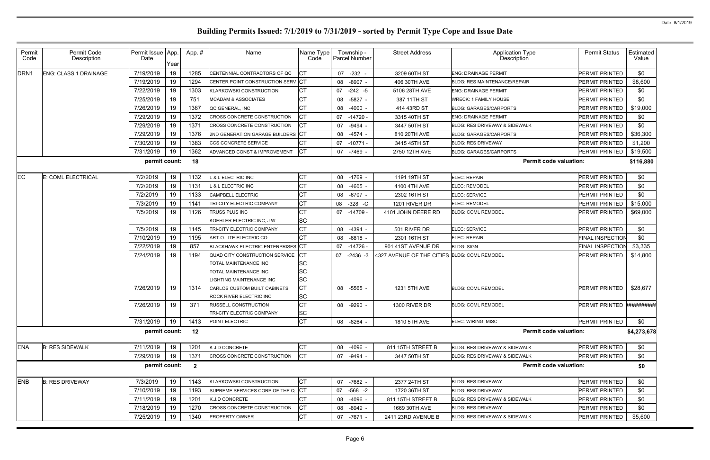| Permit           | Permit Code                  | Permit Issue App. |      | App.#                   | Name                                     | Name Type    | Township -           | <b>Street Address</b>                        | <b>Application Type</b>                  | <b>Permit Status</b>      | Estimated   |
|------------------|------------------------------|-------------------|------|-------------------------|------------------------------------------|--------------|----------------------|----------------------------------------------|------------------------------------------|---------------------------|-------------|
| Code             | Description                  | Date              | Year |                         |                                          | Code         | <b>Parcel Number</b> |                                              | <b>Description</b>                       |                           | Value       |
| DRN <sub>1</sub> | <b>ENG: CLASS 1 DRAINAGE</b> | 7/19/2019         | 19   | 1285                    | CENTENNIAL CONTRACTORS OF QC             | <b>ICT</b>   | 07 -232 -            | 3209 60TH ST                                 | <b>ENG: DRAINAGE PERMIT</b>              | PERMIT PRINTED            | \$0         |
|                  |                              | 7/19/2019         | 19   | 1294                    | CENTER POINT CONSTRUCTION SERV CT        |              | $-8907 -$<br>08      | 406 30TH AVE                                 | <b>BLDG: RES MAINTENANCE/REPAIR</b>      | PERMIT PRINTED            | \$8,600     |
|                  |                              | 7/22/2019         | 19   | 1303                    | <b>KLARKOWSKI CONSTRUCTION</b>           | <b>CT</b>    | 07<br>$-242 - 5$     | 5106 28TH AVE                                | <b>ENG: DRAINAGE PERMIT</b>              | PERMIT PRINTED            | \$0         |
|                  |                              | 7/25/2019         | 19   | 751                     | <b>MCADAM &amp; ASSOCIATES</b>           | <b>CT</b>    | $-5827$ -<br>08      | 387 11TH ST                                  | <b>WRECK: 1 FAMILY HOUSE</b>             | PERMIT PRINTED            | \$0         |
|                  |                              | 7/26/2019         | 19   | 1367                    | QC GENERAL, INC                          | <b>CT</b>    | 08<br>-4000 -        | 414 43RD ST                                  | <b>BLDG: GARAGES/CARPORTS</b>            | PERMIT PRINTED            | \$19,000    |
|                  |                              | 7/29/2019         | 19   | 1372                    | CROSS CONCRETE CONSTRUCTION              | <b>ICT</b>   | 07<br>$-14720$       | 3315 40TH ST                                 | <b>ENG: DRAINAGE PERMIT</b>              | PERMIT PRINTED            | \$0         |
|                  |                              | 7/29/2019         | 19   | 137'                    | <b>CROSS CONCRETE CONSTRUCTION</b>       |              | 07<br>$-9494$ .      | 3447 50TH ST                                 | <b>BLDG: RES DRIVEWAY &amp; SIDEWALK</b> | PERMIT PRINTED            | \$0         |
|                  |                              | 7/29/2019         | 19   | 1376                    | 2ND GENERATION GARAGE BUILDERS CT        |              | 08<br>$-4574$        | 810 20TH AVE                                 | <b>BLDG: GARAGES/CARPORTS</b>            | PERMIT PRINTED            | \$36,300    |
|                  |                              | 7/30/2019         | 19   | 1383                    | CCS CONCRETE SERVICE                     | <b>CT</b>    | $-10771$<br>07       | 3415 45TH ST                                 | <b>BLDG: RES DRIVEWAY</b>                | PERMIT PRINTED            | \$1,200     |
|                  |                              | 7/31/2019         | 19   | 1362                    | ADVANCED CONST & IMPROVEMENT             | $ _{\rm CT}$ | 07<br>-7469 -        | 2750 12TH AVE                                | <b>BLDG: GARAGES/CARPORTS</b>            | PERMIT PRINTED            | \$19,500    |
|                  |                              | permit count:     |      | 18                      |                                          |              |                      |                                              | <b>Permit code valuation:</b>            |                           | \$116,880   |
| <b>EC</b>        | E: COML ELECTRICAL           | 7/2/2019          | 19   | 1132                    | & L ELECTRIC INC                         | <b>CT</b>    | $-1769$ -<br>08      | 1191 19TH ST                                 | <b>ELEC: REPAIR</b>                      | PERMIT PRINTED            | \$0         |
|                  |                              | 7/2/2019          | 19   | 1131                    | <b>&amp; L ELECTRIC INC</b>              | <b>CT</b>    | 08<br>-4605 -        | 4100 4TH AVE                                 | ELEC: REMODEL                            | PERMIT PRINTED            | \$0         |
|                  |                              | 7/2/2019          | 19   | 1133                    | <b>CAMPBELL ELECTRIC</b>                 | СT           | $-6707 -$<br>08      | 2302 16TH ST                                 | ELEC: SERVICE                            | PERMIT PRINTED            | \$0         |
|                  |                              | 7/3/2019          | 19   | 1141                    | TRI-CITY ELECTRIC COMPANY                | <b>CT</b>    | $-328$ -C<br>08      | 1201 RIVER DR                                | <b>ELEC: REMODEL</b>                     | PERMIT PRINTED            | \$15,000    |
|                  |                              | 7/5/2019          | 19   | 1126                    | TRUSS PLUS INC                           | СT           | 07 -14709            | 4101 JOHN DEERE RD                           | <b>BLDG: COML REMODEL</b>                | PERMIT PRINTED            | \$69,000    |
|                  |                              |                   |      |                         | KOEHLER ELECTRIC INC, J W                | <b>SC</b>    |                      |                                              |                                          |                           |             |
|                  |                              | 7/5/2019          | 19   | 1145                    | <b>TRI-CITY ELECTRIC COMPANY</b>         | <b>CT</b>    | 08 -4394 -           | 501 RIVER DR                                 | ELEC: SERVICE                            | PERMIT PRINTED            | \$0         |
|                  |                              | 7/10/2019         | 19   | 1195                    | ART-O-LITE ELECTRIC CO                   | <b>CT</b>    | 08 -6818 -           | 2301 16TH ST                                 | <b>ELEC: REPAIR</b>                      | <b>FINAL INSPECTION</b>   | \$0         |
|                  |                              | 7/22/2019         | 19   | 857                     | <b>BLACKHAWK ELECTRIC ENTERPRISES CT</b> |              | 07<br>-14726 -       | 901 41ST AVENUE DR                           | <b>BLDG: SIGN</b>                        | <b>FINAL INSPECTION</b>   | \$3,335     |
|                  |                              | 7/24/2019         | 19   | 1194                    | QUAD CITY CONSTRUCTION SERVICE           | <b>ICT</b>   | 07 -2436 -3          | 4327 AVENUE OF THE CITIES BLDG: COML REMODEL |                                          | PERMIT PRINTED            | \$14,800    |
|                  |                              |                   |      |                         | TOTAL MAINTENANCE INC                    | <b>SC</b>    |                      |                                              |                                          |                           |             |
|                  |                              |                   |      |                         | <b>TOTAL MAINTENANCE INC</b>             | <b>SC</b>    |                      |                                              |                                          |                           |             |
|                  |                              |                   |      |                         | IGHTING MAINTENANCE INC                  | <b>SC</b>    |                      |                                              |                                          |                           |             |
|                  |                              | 7/26/2019         | 19   | 1314                    | CARLOS CUSTOM BUILT CABINETS             | <b>CT</b>    | 08 -5565 -           | 1231 5TH AVE                                 | <b>BLDG: COML REMODEL</b>                | PERMIT PRINTED            | \$28,677    |
|                  |                              |                   |      |                         | ROCK RIVER ELECTRIC INC                  | <b>SC</b>    |                      |                                              |                                          |                           |             |
|                  |                              | 7/26/2019         | 19   | 371                     | RUSSELL CONSTRUCTION                     | <b>CT</b>    | 08 -9290 -           | 1300 RIVER DR                                | <b>BLDG: COML REMODEL</b>                | PERMIT PRINTED ########## |             |
|                  |                              |                   |      |                         | <b>TRI-CITY ELECTRIC COMPANY</b>         | <b>SC</b>    |                      |                                              |                                          |                           |             |
|                  |                              | 7/31/2019         | 19   | 1413                    | POINT ELECTRIC                           | <b>CT</b>    | 08 -8264 -           | 1810 5TH AVE                                 | ELEC: WIRING, MISC                       | PERMIT PRINTED            | \$0         |
|                  |                              | permit count:     |      | 12                      |                                          |              |                      |                                              | <b>Permit code valuation:</b>            |                           | \$4,273,678 |
| <b>ENA</b>       | <b>B: RES SIDEWALK</b>       | 7/11/2019         | 19   | 1201                    | K.J.D CONCRETE                           | <b>CT</b>    | 08 -4096 -           | 811 15TH STREET B                            | <b>BLDG: RES DRIVEWAY &amp; SIDEWALK</b> | PERMIT PRINTED            | \$0         |
|                  |                              | 7/29/2019         | 19   | 1371                    | CROSS CONCRETE CONSTRUCTION              | CT           | 07 -9494 -           | 3447 50TH ST                                 | BLDG: RES DRIVEWAY & SIDEWALK            | PERMIT PRINTED            | \$0         |
|                  |                              | permit count:     |      | $\overline{\mathbf{2}}$ |                                          |              |                      |                                              | <b>Permit code valuation:</b>            |                           | \$0         |
| <b>ENB</b>       | <b>B: RES DRIVEWAY</b>       | 7/3/2019          | 19   | 1143                    | KLARKOWSKI CONSTRUCTION                  | <b>CT</b>    | 07 -7682 -           | 2377 24TH ST                                 | <b>BLDG: RES DRIVEWAY</b>                | PERMIT PRINTED            | \$0         |
|                  |                              | 7/10/2019         | 19   | 1193                    | SUPREME SERVICES CORP OF THE Q CT        |              | 07 -568 -2           | 1720 36TH ST                                 | <b>BLDG: RES DRIVEWAY</b>                | PERMIT PRINTED            | \$0         |
|                  |                              | 7/11/2019         | 19   | 1201                    | K.J.D CONCRETE                           | <b>CT</b>    | 08 -4096 -           | 811 15TH STREET B                            | <b>BLDG: RES DRIVEWAY &amp; SIDEWALK</b> | PERMIT PRINTED            | \$0         |
|                  |                              | 7/18/2019         | 19   | 1270                    | CROSS CONCRETE CONSTRUCTION              | <b>ICT</b>   | 08 -8949 -           | 1669 30TH AVE                                | <b>BLDG: RES DRIVEWAY</b>                | PERMIT PRINTED            | \$0         |
|                  |                              |                   | 19   | 1340                    | PROPERTY OWNER                           | <b>CT</b>    |                      |                                              | BLDG: RES DRIVEWAY & SIDEWALK            |                           |             |
|                  |                              | 7/25/2019         |      |                         |                                          |              | 07 -7671 -           | 2411 23RD AVENUE B                           |                                          | PERMIT PRINTED            | \$5,600     |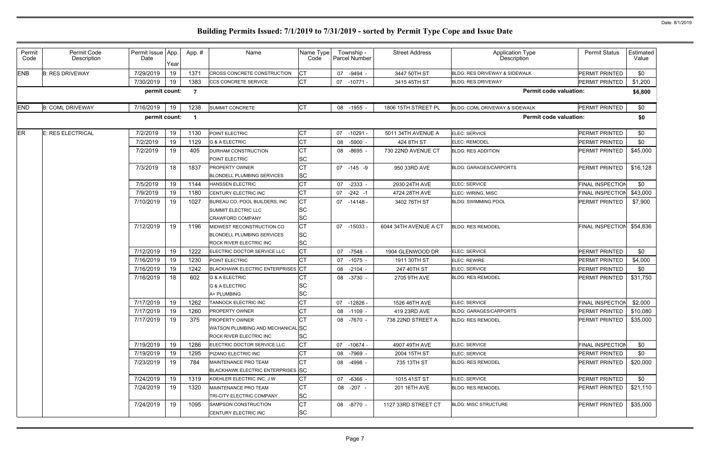| Permit<br>Code | Permit Code<br>Description | Permit Issue App.<br>Date | Year | App. # | Name                                         | Name Type<br>Code      | Township -<br>Parcel Number | <b>Street Address</b> | <b>Application Type</b><br>Description | <b>Permit Status</b>    | Estimated<br>Value |
|----------------|----------------------------|---------------------------|------|--------|----------------------------------------------|------------------------|-----------------------------|-----------------------|----------------------------------------|-------------------------|--------------------|
| <b>ENB</b>     | <b>B: RES DRIVEWAY</b>     | 7/29/2019                 | 19   | 1371   | CROSS CONCRETE CONSTRUCTION                  | <b>CT</b>              | 07<br>-9494 -               | 3447 50TH ST          | BLDG: RES DRIVEWAY & SIDEWALK          | PERMIT PRINTED          | \$0                |
|                |                            | 7/30/2019                 | 19   | 1383   | <b>CCS CONCRETE SERVICE</b>                  | <b>CT</b>              | 07<br>$-10771 -$            | 3415 45TH ST          | <b>BLDG: RES DRIVEWAY</b>              | PERMIT PRINTED          | \$1,200            |
|                |                            | permit count:             |      | -7     |                                              |                        |                             |                       | <b>Permit code valuation:</b>          |                         | \$6,800            |
| <b>END</b>     | <b>B: COML DRIVEWAY</b>    | 7/16/2019                 | 19   | 1238   | <b>SUMMIT CONCRETE</b>                       | <b>CT</b>              | 08 -1955 -                  | 1806 15TH STREET PL   | BLDG: COML DRIVEWAY & SIDEWALK         | PERMIT PRINTED          | \$0                |
|                |                            | permit count:             |      | - 1    |                                              |                        |                             |                       | <b>Permit code valuation:</b>          |                         | \$0                |
| <b>ER</b>      | <b>E: RES ELECTRICAL</b>   | 7/2/2019                  | 19   | 1130   | POINT ELECTRIC                               | <b>CT</b>              | 07<br>$-10291 -$            | 5011 34TH AVENUE A    | ELEC: SERVICE                          | PERMIT PRINTED          | \$0                |
|                |                            | 7/2/2019                  | 19   | 1129   | <b>G &amp; A ELECTRIC</b>                    | <b>CT</b>              | -5900 -<br>08               | 424 8TH ST            | ELEC: REMODEL                          | PERMIT PRINTED          | \$0                |
|                |                            | 7/2/2019                  | 19   | 405    | DURHAM CONSTRUCTION                          | <b>CT</b>              | 08 -8695 -                  | 730 22ND AVENUE CT    | <b>BLDG: RES ADDITION</b>              | PERMIT PRINTED          | \$45,000           |
|                |                            |                           |      |        | POINT ELECTRIC                               | <b>SC</b>              |                             |                       |                                        |                         |                    |
|                |                            | 7/3/2019                  | 18   | 1837   | <b>PROPERTY OWNER</b>                        | <b>CT</b>              | 07 -145 -9                  | 950 33RD AVE          | <b>BLDG: GARAGES/CARPORTS</b>          | <b>PERMIT PRINTED</b>   | \$16,128           |
|                |                            |                           |      |        | <b>BLONDELL PLUMBING SERVICES</b>            | <b>SC</b>              |                             |                       |                                        |                         |                    |
|                |                            | 7/5/2019                  | 19   | 1144   | <b>HANSSEN ELECTRIC</b>                      | <b>CT</b>              | $-2333 -$<br>07             | 2930 24TH AVE         | ELEC: SERVICE                          | <b>FINAL INSPECTION</b> | \$0                |
|                |                            | 7/9/2019                  | 19   | 1180   | CENTURY ELECTRIC INC                         | <b>CT</b>              | 07<br>$-242 - 1$            | 4724 28TH AVE         | ELEC: WIRING, MISC                     | FINAL INSPECTION        | \$43,000           |
|                |                            | 7/10/2019                 | 19   | 1027   | BUREAU CO. POOL BUILDERS, INC                | <b>CT</b>              | 07<br>-14148 -              | 3402 76TH ST          | <b>BLDG: SWIMMING POOL</b>             | PERMIT PRINTED          | \$7,900            |
|                |                            |                           |      |        | SUMMIT ELECTRIC LLC                          | <b>SC</b>              |                             |                       |                                        |                         |                    |
|                |                            |                           |      |        | <b>CRAWFORD COMPANY</b>                      | <b>SC</b>              |                             |                       |                                        |                         |                    |
|                |                            | 7/12/2019                 | 19   | 1196   | MIDWEST RECONSTRUCTION CO                    | <b>CT</b>              | 07 -15033                   | 6044 34TH AVENUE A CT | <b>BLDG: RES REMODEL</b>               | <b>FINAL INSPECTION</b> | \$54,836           |
|                |                            |                           |      |        | <b>BLONDELL PLUMBING SERVICES</b>            | <b>SC</b>              |                             |                       |                                        |                         |                    |
|                |                            |                           |      |        | <b>ROCK RIVER ELECTRIC INC</b>               | <b>SC</b>              |                             |                       |                                        |                         |                    |
|                |                            | 7/12/2019                 | 19   | 1222   | ELECTRIC DOCTOR SERVICE LLC                  | <b>CT</b>              | -7548 -<br>07               | 1904 GLENWOOD DR      | ELEC: SERVICE                          | PERMIT PRINTED          | \$0                |
|                |                            | 7/16/2019                 | 19   | 1230   | POINT ELECTRIC                               | <b>CT</b>              | 07<br>$-1075 -$             | 1911 30TH ST          | <b>ELEC: REWIRE</b>                    | PERMIT PRINTED          | \$4,000            |
|                |                            | 7/16/2019                 | 19   | 1242   | BLACKHAWK ELECTRIC ENTERPRISES CT            |                        | 08<br>$-2104 -$             | 247 40TH ST           | ELEC: SERVICE                          | PERMIT PRINTED          | \$0                |
|                |                            | 7/16/2019                 | 18   | 602    | <b>G &amp; A ELECTRIC</b>                    | СT                     | 08 -3730 -                  | 2705 9TH AVE          | <b>BLDG: RES REMODEL</b>               | PERMIT PRINTED          | \$31,750           |
|                |                            |                           |      |        | <b>G &amp; A ELECTRIC</b>                    | <b>SC</b>              |                             |                       |                                        |                         |                    |
|                |                            |                           |      |        | A+ PLUMBING                                  | <b>SC</b>              |                             |                       |                                        |                         |                    |
|                |                            | 7/17/2019                 | 19   | 1262   | TANNOCK ELECTRIC INC                         | <b>CT</b>              | 07 -12826 -                 | 1526 46TH AVE         | ELEC: SERVICE                          | <b>FINAL INSPECTION</b> | \$2,000            |
|                |                            | 7/17/2019                 | 19   | 1260   | <b>PROPERTY OWNER</b>                        | <b>CT</b>              | 08 -1109 -                  | 419 23RD AVE          | <b>BLDG: GARAGES/CARPORTS</b>          | PERMIT PRINTED          | \$10,080           |
|                |                            | 7/17/2019                 | 19   | 375    | <b>PROPERTY OWNER</b>                        | <b>CT</b>              | 08 -7670 -                  | 738 22ND STREET A     | <b>BLDG: RES REMODEL</b>               | PERMIT PRINTED          | \$35,000           |
|                |                            |                           |      |        | WATSON PLUMBING AND MECHANICAL SC            |                        |                             |                       |                                        |                         |                    |
|                |                            |                           |      |        | ROCK RIVER ELECTRIC INC                      | <b>SC</b>              |                             |                       |                                        |                         |                    |
|                |                            | 7/19/2019                 | 19   | 1286   | ELECTRIC DOCTOR SERVICE LLC                  | <b>CT</b>              | 07<br>-10674 -              | 4907 49TH AVE         | ELEC: SERVICE                          | <b>FINAL INSPECTION</b> | \$0                |
|                |                            | 7/19/2019                 | 19   | 1295   | PIZANO ELECTRIC INC                          | <b>CT</b>              | 08 -7969 -                  | 2004 15TH ST          | ELEC: SERVICE                          | PERMIT PRINTED          | \$0                |
|                |                            | 7/23/2019                 | 19   | 784    | MAINTENANCE PRO TEAM                         | <b>CT</b>              | 08 -4998 -                  | 735 13TH ST           | <b>BLDG: RES REMODEL</b>               | PERMIT PRINTED          | \$20,000           |
|                |                            |                           |      |        | BLACKHAWK ELECTRIC ENTERPRISES SC            |                        |                             |                       |                                        |                         |                    |
|                |                            | 7/24/2019                 | 19   | 1319   | KOEHLER ELECTRIC INC. J W                    | <b>CT</b>              | -6366 -<br>07               | 1015 41ST ST          | ELEC: SERVICE                          | PERMIT PRINTED          | \$0                |
|                |                            | 7/24/2019                 | 19   | 1320   | MAINTENANCE PRO TEAM                         | <b>CT</b>              | 08 -207 -                   | 201 16TH AVE          | <b>BLDG: RES REMODEL</b>               | PERMIT PRINTED          | \$21,110           |
|                |                            |                           | 19   |        | TRI-CITY ELECTRIC COMPANY                    | <b>SC</b><br><b>CT</b> |                             |                       | <b>BLDG: MISC STRUCTURE</b>            |                         |                    |
|                |                            | 7/24/2019                 |      | 1095   | SAMPSON CONSTRUCTION<br>CENTURY ELECTRIC INC | <b>SC</b>              | 08 -8770 -                  | 1127 33RD STREET CT   |                                        | PERMIT PRINTED          | \$35,000           |
|                |                            |                           |      |        |                                              |                        |                             |                       |                                        |                         |                    |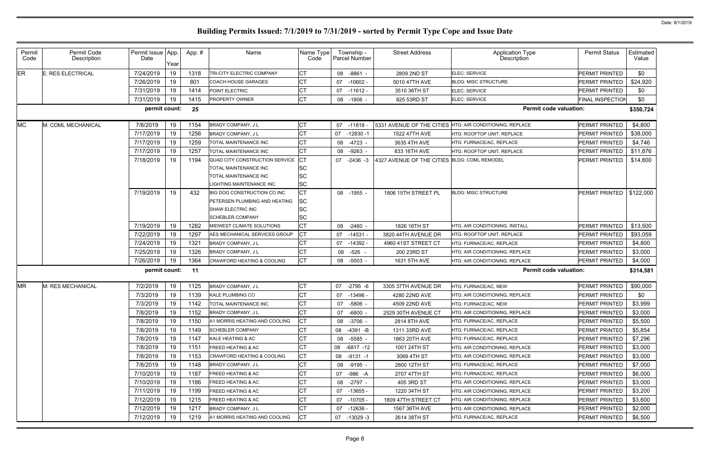| Permit<br>Code | Permit Code<br>Description | Permit Issue App.<br>Date | Year | App. # | Name                            | Name Type<br>Code | Township -<br>Parcel Number | <b>Street Address</b>                        | Application Type<br>Description                          | <b>Permit Status</b>    | Estimated<br>Value |
|----------------|----------------------------|---------------------------|------|--------|---------------------------------|-------------------|-----------------------------|----------------------------------------------|----------------------------------------------------------|-------------------------|--------------------|
| <b>ER</b>      | E: RES ELECTRICAL          | 7/24/2019                 | 19   | 1318   | TRI-CITY ELECTRIC COMPANY       | СT                | 08 -8861 -                  | 2809 2ND ST                                  | ELEC: SERVICE                                            | PERMIT PRINTED          | \$0                |
|                |                            | 7/26/2019                 | 19   | 801    | <b>COACH HOUSE GARAGES</b>      | <b>CT</b>         | 07<br>$-10602 -$            | 5010 47TH AVE                                | <b>BLDG: MISC STRUCTURE</b>                              | PERMIT PRINTED          | \$24,920           |
|                |                            | 7/31/2019                 | 19   | 1414   | POINT ELECTRIC                  | СT                | 07<br>-11612 -              | 3510 36TH ST                                 | ELEC: SERVICE                                            | PERMIT PRINTED          | \$0                |
|                |                            | 7/31/2019                 | 19   | 1415   | PROPERTY OWNER                  | <b>CT</b>         | 08 -1806 -                  | 825 53RD ST                                  | ELEC: SERVICE                                            | <b>FINAL INSPECTION</b> | \$0                |
|                |                            | permit count:             |      | 25     |                                 |                   |                             |                                              | <b>Permit code valuation:</b>                            |                         | \$350,724          |
| <b>MC</b>      | M: COML MECHANICAL         | 7/8/2019                  | 19   | 1154   | BRADY COMPANY, J L              | <b>CT</b>         | 07 -11818 -                 |                                              | 5331 AVENUE OF THE CITIES HTG: AIR CONDITIONING, REPLACE | <b>PERMIT PRINTED</b>   | \$4,800            |
|                |                            | 7/17/2019                 | 19   | 1256   | BRADY COMPANY, J L              | СT                | 07<br>$-12830 - 1$          | 1522 47TH AVE                                | HTG: ROOFTOP UNIT, REPLACE                               | <b>PERMIT PRINTED</b>   | \$38,000           |
|                |                            | 7/17/2019                 | 19   | 1259   | TOTAL MAINTENANCE INC           | <b>CT</b>         | 08 -4723 -                  | 3635 4TH AVE                                 | HTG: FURNACE/AC, REPLACE                                 | <b>PERMIT PRINTED</b>   | \$4,746            |
|                |                            | 7/17/2019                 | 19   | 1257   | TOTAL MAINTENANCE INC           | <b>CT</b>         | $-9263$<br>08               | 833 16TH AVE                                 | HTG: ROOFTOP UNIT, REPLACE                               | PERMIT PRINTED          | \$11,876           |
|                |                            | 7/18/2019                 | 19   | 1194   | QUAD CITY CONSTRUCTION SERVICE  | <b>I</b> CT       | 07<br>$-2436 - 3$           | 4327 AVENUE OF THE CITIES BLDG: COML REMODEL |                                                          | PERMIT PRINTED          | \$14,800           |
|                |                            |                           |      |        | TOTAL MAINTENANCE INC           | <b>SC</b>         |                             |                                              |                                                          |                         |                    |
|                |                            |                           |      |        | <b>TOTAL MAINTENANCE INC</b>    | <b>SC</b>         |                             |                                              |                                                          |                         |                    |
|                |                            |                           |      |        | <b>LIGHTING MAINTENANCE INC</b> | <b>SC</b>         |                             |                                              |                                                          |                         |                    |
|                |                            | 7/19/2019                 | 19   | 432    | BIG DOG CONSTRUCTION CO INC     | <b>ICT</b>        | 08 -1955 -                  | 1806 15TH STREET PL                          | <b>BLDG: MISC STRUCTURE</b>                              | PERMIT PRINTED          | \$122,000          |
|                |                            |                           |      |        | PETERSEN PLUMBING AND HEATING   | <b>SC</b>         |                             |                                              |                                                          |                         |                    |
|                |                            |                           |      |        | SHAW ELECTRIC INC               | <b>SC</b>         |                             |                                              |                                                          |                         |                    |
|                |                            |                           |      |        | <b>SCHEBLER COMPANY</b>         | <b>SC</b>         |                             |                                              |                                                          |                         |                    |
|                |                            | 7/19/2019                 | 19   | 1282   | MIDWEST CLIMATE SOLUTIONS       | <b>CT</b>         | 08 -2460 -                  | 1826 16TH ST                                 | HTG: AIR CONDITIONING, INSTALL                           | <b>PERMIT PRINTED</b>   | \$13,500           |
|                |                            | 7/22/2019                 | 19   | 1297   | AES MECHANICAL SERVICES GROUP   | <b>ICT</b>        | 07 -14531 -                 | 3820 44TH AVENUE DR                          | HTG: ROOFTOP UNIT, REPLACE                               | <b>PERMIT PRINTED</b>   | \$93,059           |
|                |                            | 7/24/2019                 | 19   | 1321   | BRADY COMPANY, J L              | СT                | 07 -14392 -                 | 4960 41ST STREET CT                          | HTG: FURNACE/AC, REPLACE                                 | <b>PERMIT PRINTED</b>   | \$4,800            |
|                |                            | 7/25/2019                 | 19   | 1326   | BRADY COMPANY, J L              | <b>CT</b>         | -526 -<br>08                | 200 23RD ST                                  | HTG: AIR CONDITIONING, REPLACE                           | <b>PERMIT PRINTED</b>   | \$3,000            |
|                |                            | 7/26/2019                 | 19   | 1364   | CRAWFORD HEATING & COOLING      | <b>CT</b>         | 08 -5503 -                  | 1631 5TH AVE                                 | HTG: AIR CONDITIONING, REPLACE                           | <b>PERMIT PRINTED</b>   | \$4,000            |
|                |                            | permit count:             |      | 11     |                                 |                   |                             |                                              | <b>Permit code valuation:</b>                            |                         | \$314,581          |
| <b>MR</b>      | M: RES MECHANICAL          | 7/2/2019                  | 19   | 1125   | BRADY COMPANY, J L              | <b>CT</b>         | 07<br>$-2795 - 6$           | 3305 37TH AVENUE DR                          | HTG: FURNACE/AC, NEW                                     | PERMIT PRINTED          | \$90,000           |
|                |                            | 7/3/2019                  | 19   | 1139   | <b>KALE PLUMBING CO</b>         | <b>CT</b>         | 07<br>-13496 -              | 4280 22ND AVE                                | HTG: AIR CONDITIONING, REPLACE                           | <b>PERMIT PRINTED</b>   | \$0                |
|                |                            | 7/3/2019                  | 19   | 1142   | TOTAL MAINTENANCE INC           | <b>CT</b>         | 07 -5806 -                  | 4509 22ND AVE                                | HTG: FURNACE/AC, NEW                                     | PERMIT PRINTED          | \$3,999            |
|                |                            | 7/8/2019                  | 19   | 1152   | BRADY COMPANY, J L              | <b>CT</b>         | 07 -6800 -                  | 2529 30TH AVENUE CT                          | HTG: AIR CONDITIONING, REPLACE                           | <b>PERMIT PRINTED</b>   | \$3,000            |
|                |                            | 7/8/2019                  | 19   | 1150   | A1 MORRIS HEATING AND COOLING   | <b>CT</b>         | 08 -3706 -                  | 2814 8TH AVE                                 | HTG: FURNACE/AC, REPLACE                                 | PERMIT PRINTED          | \$5,500            |
|                |                            | 7/8/2019                  | 19   | 1149   | <b>SCHEBLER COMPANY</b>         | <b>CT</b>         | 08 -4391 -B                 | 1311 33RD AVE                                | HTG: FURNACE/AC, REPLACE                                 | <b>PERMIT PRINTED</b>   | \$5,854            |
|                |                            | 7/8/2019                  | 19   | 1147   | KALE HEATING & AC               | <b>CT</b>         | 08 -5585 -                  | 1863 20TH AVE                                | HTG: FURNACE/AC, REPLACE                                 | PERMIT PRINTED          | \$7,296            |
|                |                            | 7/8/2019                  | 19   | 1151   | <b>FREED HEATING &amp; AC</b>   | <b>CT</b>         | 08 -6817 -12                | 1001 24TH ST                                 | HTG: AIR CONDITIONING, REPLACE                           | PERMIT PRINTED          | \$3,000            |
|                |                            | 7/8/2019                  | 19   | 1153   | CRAWFORD HEATING & COOLING      | <b>CT</b>         | 08<br>-9131 -1              | 3069 4TH ST                                  | HTG: AIR CONDITIONING, REPLACE                           | <b>PERMIT PRINTED</b>   | \$3,000            |
|                |                            | 7/8/2019                  | 19   | 1148   | <b>BRADY COMPANY, JL</b>        | <b>CT</b>         | 08 -9195 -                  | 2800 12TH ST                                 | HTG: FURNACE/AC, REPLACE                                 | <b>PERMIT PRINTED</b>   | \$7,000            |
|                |                            | 7/10/2019                 | 19   | 1187   | <b>FREED HEATING &amp; AC</b>   | <b>CT</b>         | -986 -A<br>07               | 2707 47TH ST                                 | HTG: FURNACE/AC, REPLACE                                 | <b>PERMIT PRINTED</b>   | \$6,000            |
|                |                            | 7/10/2019                 | 19   | 1186   | <b>FREED HEATING &amp; AC</b>   | <b>CT</b>         | 08 -2797 -                  | 405 3RD ST                                   | HTG: AIR CONDITIONING, REPLACE                           | <b>PERMIT PRINTED</b>   | \$3,000            |
|                |                            | 7/11/2019                 | 19   | 1199   | <b>FREED HEATING &amp; AC</b>   | <b>CT</b>         | 07 -13655 -                 | 1220 34TH ST                                 | HTG: AIR CONDITIONING, REPLACE                           | PERMIT PRINTED          | \$3,200            |
|                |                            | 7/12/2019                 | 19   | 1215   | FREED HEATING & AC              | <b>CT</b>         | 07 -10705 -                 | 1809 47TH STREET CT                          | HTG: AIR CONDITIONING, REPLACE                           | <b>PERMIT PRINTED</b>   | \$3,600            |
|                |                            | 7/12/2019                 | 19   | 1217   | BRADY COMPANY, JL               | <b>CT</b>         | 07 -12636 -                 | 1567 36TH AVE                                | HTG: AIR CONDITIONING, REPLACE                           | PERMIT PRINTED          | \$2,000            |
|                |                            | 7/12/2019                 | 19   | 1219   | A1 MORRIS HEATING AND COOLING   | <b>CT</b>         | 07 -13029 -3                | 2614 38TH ST                                 | HTG: FURNACE/AC, REPLACE                                 | <b>PERMIT PRINTED</b>   | \$6,500            |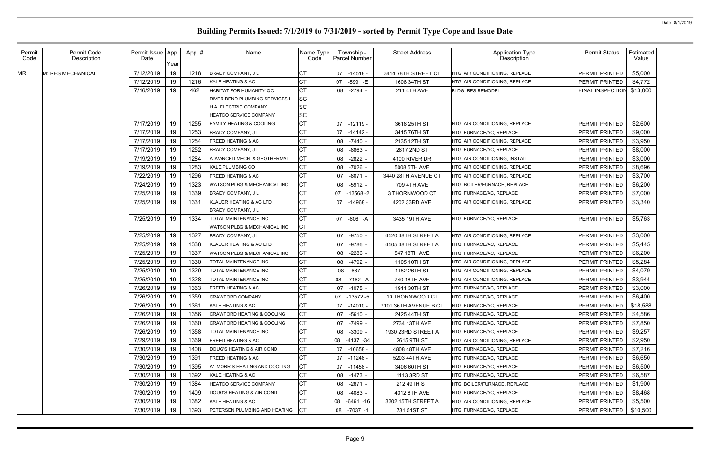| Permit<br>Code | Permit Code<br>Description | Permit Issue   App.<br>Date | Year | App.# | Name                                    | Name Type<br>Code | Township -<br>Parcel Number | <b>Street Address</b> | <b>Application Type</b><br>Description | <b>Permit Status</b>    | Estimated<br>Value |
|----------------|----------------------------|-----------------------------|------|-------|-----------------------------------------|-------------------|-----------------------------|-----------------------|----------------------------------------|-------------------------|--------------------|
| <b>MR</b>      | M: RES MECHANICAL          | 7/12/2019                   | 19   | 1218  | <b>BRADY COMPANY, JL</b>                | СT                | 07<br>-14518 -              | 3414 78TH STREET CT   | HTG: AIR CONDITIONING, REPLACE         | PERMIT PRINTED          | \$5,000            |
|                |                            | 7/12/2019                   | 19   | 1216  | KALE HEATING & AC                       | <b>CT</b>         | 07<br>-599 -E               | 1608 34TH ST          | HTG: AIR CONDITIONING. REPLACE         | PERMIT PRINTED          | \$4,772            |
|                |                            | 7/16/2019                   | 19   | 462   | HABITAT FOR HUMANITY-QC                 | <b>CT</b>         | 08 -2794 -                  | 211 4TH AVE           | <b>BLDG: RES REMODEL</b>               | <b>FINAL INSPECTION</b> | \$13,000           |
|                |                            |                             |      |       | <b>RIVER BEND PLUMBING SERVICES L</b>   | <b>SC</b>         |                             |                       |                                        |                         |                    |
|                |                            |                             |      |       | H A ELECTRIC COMPANY                    | <b>SC</b>         |                             |                       |                                        |                         |                    |
|                |                            |                             |      |       | <b>HEATCO SERVICE COMPANY</b>           | <b>SC</b>         |                             |                       |                                        |                         |                    |
|                |                            | 7/17/2019                   | 19   | 1255  | <b>FAMILY HEATING &amp; COOLING</b>     | <b>CT</b>         | 07<br>-12119 -              | 3618 25TH ST          | HTG: AIR CONDITIONING. REPLACE         | PERMIT PRINTED          | \$2,600            |
|                |                            | 7/17/2019                   | 19   | 1253  | BRADY COMPANY, J L                      | <b>CT</b>         | 07<br>-14142 -              | 3415 76TH ST          | HTG: FURNACE/AC, REPLACE               | PERMIT PRINTED          | \$9,000            |
|                |                            | 7/17/2019                   | 19   | 1254  | <b>FREED HEATING &amp; AC</b>           | <b>CT</b>         | -7440 -<br>08               | 2135 12TH ST          | HTG: AIR CONDITIONING, REPLACE         | PERMIT PRINTED          | \$3,950            |
|                |                            | 7/17/2019                   | 19   | 1252  | BRADY COMPANY, JL                       | <b>CT</b>         | $-8863$<br>08               | 2817 2ND ST           | HTG: FURNACE/AC, REPLACE               | PERMIT PRINTED          | \$8,000            |
|                |                            | 7/19/2019                   | 19   | 1284  | ADVANCED MECH. & GEOTHERMAL             | IСТ               | 08<br>-2822 -               | 4100 RIVER DR         | HTG: AIR CONDITIONING, INSTALL         | PERMIT PRINTED          | \$3,000            |
|                |                            | 7/19/2019                   | 19   | 1283  | KALE PLUMBING CO                        | <b>CT</b>         | -7026 -<br>08               | 5008 5TH AVE          | HTG: AIR CONDITIONING. REPLACE         | PERMIT PRINTED          | \$8,696            |
|                |                            | 7/22/2019                   | 19   | 1296  | <b>FREED HEATING &amp; AC</b>           | <b>CT</b>         | -8071 -<br>07               | 3440 28TH AVENUE CT   | HTG: AIR CONDITIONING. REPLACE         | PERMIT PRINTED          | \$3,700            |
|                |                            | 7/24/2019                   | 19   | 1323  | <b>WATSON PLBG &amp; MECHANICAL INC</b> | IСТ               | 08<br>-5912 -               | 709 4TH AVE           | HTG: BOILER/FURNACE, REPLACE           | PERMIT PRINTED          | \$6,200            |
|                |                            | 7/25/2019                   | 19   | 1339  | <b>BRADY COMPANY, JL</b>                | <b>CT</b>         | 07<br>-13568 -2             | 3 THORNWOOD CT        | HTG: FURNACE/AC, REPLACE               | PERMIT PRINTED          | \$7,000            |
|                |                            | 7/25/2019                   | 19   | 1331  | KLAUER HEATING & AC LTD                 | <b>CT</b>         | 07<br>-14968 -              | 4202 33RD AVE         | HTG: AIR CONDITIONING. REPLACE         | PERMIT PRINTED          | \$3,340            |
|                |                            |                             |      |       | BRADY COMPANY, JL                       | CТ                |                             |                       |                                        |                         |                    |
|                |                            | 7/25/2019                   | 19   | 1334  | <b>TOTAL MAINTENANCE INC</b>            | <b>CT</b>         | 07 -606 -A                  | 3435 19TH AVE         | HTG: FURNACE/AC, REPLACE               | <b>PERMIT PRINTED</b>   | \$5,763            |
|                |                            |                             |      |       | WATSON PLBG & MECHANICAL INC            | IСТ               |                             |                       |                                        |                         |                    |
|                |                            | 7/25/2019                   | 19   | 1327  | BRADY COMPANY, J L                      | <b>CT</b>         | 07 -9750 -                  | 4520 48TH STREET A    | HTG: AIR CONDITIONING, REPLACE         | PERMIT PRINTED          | \$3,000            |
|                |                            | 7/25/2019                   | 19   | 1338  | KLAUER HEATING & AC LTD                 | <b>CT</b>         | -9786 -<br>07               | 4505 48TH STREET A    | HTG: FURNACE/AC, REPLACE               | PERMIT PRINTED          | \$5,445            |
|                |                            | 7/25/2019                   | 19   | 1337  | WATSON PLBG & MECHANICAL INC            | <b>CT</b>         | 08 -2286 -                  | 547 18TH AVE          | HTG: FURNACE/AC, REPLACE               | PERMIT PRINTED          | \$6,200            |
|                |                            | 7/25/2019                   | 19   | 1330  | <b>TOTAL MAINTENANCE INC</b>            | <b>CT</b>         | 08 -4792 -                  | 1105 10TH ST          | HTG: AIR CONDITIONING, REPLACE         | PERMIT PRINTED          | \$5,284            |
|                |                            | 7/25/2019                   | 19   | 1329  | TOTAL MAINTENANCE INC                   | <b>CT</b>         | 08 -667 -                   | 1182 26TH ST          | HTG: AIR CONDITIONING, REPLACE         | PERMIT PRINTED          | \$4,079            |
|                |                            | 7/25/2019                   | 19   | 1328  | <b>TOTAL MAINTENANCE INC</b>            | IСТ               | 08<br>-7162 -A              | 740 18TH AVE          | HTG: AIR CONDITIONING, REPLACE         | PERMIT PRINTED          | \$3,944            |
|                |                            | 7/26/2019                   | 19   | 1363  | <b>FREED HEATING &amp; AC</b>           | <b>CT</b>         | 07 -1075 -                  | 1911 30TH ST          | HTG: FURNACE/AC, REPLACE               | PERMIT PRINTED          | \$3,000            |
|                |                            | 7/26/2019                   | 19   | 1359  | CRAWFORD COMPANY                        | <b>CT</b>         | 07<br>-13572 -5             | 10 THORNWOOD CT       | HTG: FURNACE/AC, REPLACE               | PERMIT PRINTED          | \$6,400            |
|                |                            | 7/26/2019                   | 19   | 1361  | KALE HEATING & AC                       | <b>CT</b>         | 07 -14010 -                 | 7101 36TH AVENUE B CT | HTG: FURNACE/AC, REPLACE               | PERMIT PRINTED          | \$18,588           |
|                |                            | 7/26/2019                   | 19   | 1356  | <b>CRAWFORD HEATING &amp; COOLING</b>   | <b>CT</b>         | 07 -5610 -                  | 2425 44TH ST          | HTG: FURNACE/AC. REPLACE               | PERMIT PRINTED          | \$4,586            |
|                |                            | 7/26/2019                   | 19   | 1360  | <b>CRAWFORD HEATING &amp; COOLING</b>   | <b>CT</b>         | 07 -7499 -                  | 2734 13TH AVE         | HTG: FURNACE/AC, REPLACE               | PERMIT PRINTED          | \$7,850            |
|                |                            | 7/26/2019                   | 19   | 1358  | TOTAL MAINTENANCE INC                   | <b>CT</b>         | 08 -3309 -                  | 1930 23RD STREET A    | HTG: FURNACE/AC. REPLACE               | PERMIT PRINTED          | \$9,257            |
|                |                            | 7/29/2019                   | 19   | 1369  | <b>FREED HEATING &amp; AC</b>           | СT                | 08 -4137 -34                | 2615 9TH ST           | HTG: AIR CONDITIONING, REPLACE         | PERMIT PRINTED          | \$2,950            |
|                |                            | 7/30/2019                   | 19   | 1408  | DOUG'S HEATING & AIR COND               | IСТ               | -10658 -<br>07              | 4808 48TH AVE         | HTG: FURNACE/AC, REPLACE               | PERMIT PRINTED          | \$7,216            |
|                |                            | 7/30/2019                   | 19   | 1391  | <b>FREED HEATING &amp; AC</b>           | <b>CT</b>         | 07 -11248 -                 | 5203 44TH AVE         | HTG: FURNACE/AC, REPLACE               | PERMIT PRINTED          | \$6,650            |
|                |                            | 7/30/2019                   | 19   | 1395  | A1 MORRIS HEATING AND COOLING           | IСТ               | 07 -11458 -                 | 3406 60TH ST          | HTG: FURNACE/AC, REPLACE               | PERMIT PRINTED          | \$6,500            |
|                |                            | 7/30/2019                   | 19   | 1392  | KALE HEATING & AC                       | СT                | 08 -1473 -                  | 1113 3RD ST           | HTG: FURNACE/AC, REPLACE               | PERMIT PRINTED          | \$6,587            |
|                |                            | 7/30/2019                   | 19   | 1384  | HEATCO SERVICE COMPANY                  | IСТ               | 08 -2671 -                  | 212 49TH ST           | HTG: BOILER/FURNACE, REPLACE           | PERMIT PRINTED          | \$1,900            |
|                |                            | 7/30/2019                   | 19   | 1409  | DOUG'S HEATING & AIR COND               | <b>CT</b>         | 08 -4083 -                  | 4312 8TH AVE          | HTG: FURNACE/AC, REPLACE               | PERMIT PRINTED          | \$8,468            |
|                |                            | 7/30/2019                   | 19   | 1382  | KALE HEATING & AC                       | <b>CT</b>         | 08 -6461 -16                | 3302 15TH STREET A    | HTG: AIR CONDITIONING, REPLACE         | PERMIT PRINTED          | \$5,500            |
|                |                            | 7/30/2019                   | 19   | 1393  | PETERSEN PLUMBING AND HEATING           | <b>CT</b>         | 08 -7037 -1                 | 731 51ST ST           | HTG: FURNACE/AC, REPLACE               | PERMIT PRINTED          | \$10,500           |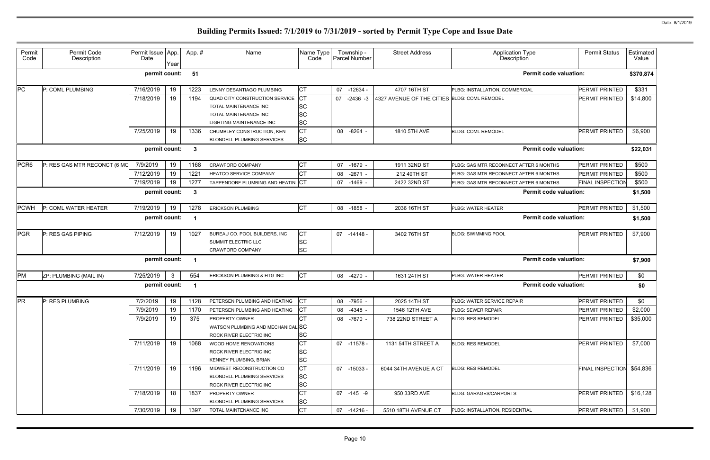| Permit<br>Code   | Permit Code<br>Description   | Permit Issue App.<br>Date | Year | App.#                   | Name                                                       | Name Type<br>Code | Township -<br>Parcel Number | <b>Street Address</b>                        | <b>Application Type</b><br>Description | <b>Permit Status</b>    | Estimated<br>Value |
|------------------|------------------------------|---------------------------|------|-------------------------|------------------------------------------------------------|-------------------|-----------------------------|----------------------------------------------|----------------------------------------|-------------------------|--------------------|
|                  |                              | permit count:             |      | 51                      |                                                            |                   |                             |                                              | <b>Permit code valuation:</b>          |                         | \$370,874          |
| PC               | P: COML PLUMBING             | 7/16/2019                 | 19   | 1223                    | <b>LENNY DESANTIAGO PLUMBING</b>                           | <b>CT</b>         | 07<br>$-12634$              | 4707 16TH ST                                 | PLBG: INSTALLATION, COMMERCIAL         | PERMIT PRINTED          | \$331              |
|                  |                              | 7/18/2019                 | 19   | 1194                    | QUAD CITY CONSTRUCTION SERVICE                             | $ _{\text{CT}}$   | 07<br>$-2436 - 3$           | 4327 AVENUE OF THE CITIES BLDG: COML REMODEL |                                        | PERMIT PRINTED          | \$14,800           |
|                  |                              |                           |      |                         | TOTAL MAINTENANCE INC                                      | <b>SC</b>         |                             |                                              |                                        |                         |                    |
|                  |                              |                           |      |                         | TOTAL MAINTENANCE INC                                      | <b>SC</b>         |                             |                                              |                                        |                         |                    |
|                  |                              |                           |      |                         | LIGHTING MAINTENANCE INC                                   | <b>SC</b>         |                             |                                              |                                        |                         |                    |
|                  |                              | 7/25/2019                 | 19   | 1336                    | CHUMBLEY CONSTRUCTION, KEN                                 | <b>CT</b>         | 08 - 8264 -                 | 1810 5TH AVE                                 | <b>BLDG: COML REMODEL</b>              | PERMIT PRINTED          | \$6,900            |
|                  |                              |                           |      |                         | <b>BLONDELL PLUMBING SERVICES</b>                          | <b>SC</b>         |                             |                                              |                                        |                         |                    |
|                  |                              | permit count:             |      | $\mathbf{3}$            |                                                            |                   |                             |                                              | <b>Permit code valuation:</b>          |                         | \$22,031           |
| PCR <sub>6</sub> | P: RES GAS MTR RECONCT (6 MO | 7/9/2019                  | 19   | 1168                    | <b>CRAWFORD COMPANY</b>                                    | <b>CT</b>         | 07<br>-1679 -               | 1911 32ND ST                                 | PLBG: GAS MTR RECONNECT AFTER 6 MONTHS | PERMIT PRINTED          | \$500              |
|                  |                              | 7/12/2019                 | 19   | 1221                    | <b>HEATCO SERVICE COMPANY</b>                              | IСТ               | 08 -2671 -                  | 212 49TH ST                                  | PLBG: GAS MTR RECONNECT AFTER 6 MONTHS | <b>PERMIT PRINTED</b>   | \$500              |
|                  |                              | 7/19/2019                 | 19   | 1277                    | TAPPENDORF PLUMBING AND HEATIN CT                          |                   | 07 -1469 -                  | 2422 32ND ST                                 | PLBG: GAS MTR RECONNECT AFTER 6 MONTHS | <b>FINAL INSPECTION</b> | \$500              |
|                  |                              | permit count:             |      | $\overline{\mathbf{3}}$ |                                                            |                   |                             |                                              | <b>Permit code valuation:</b>          |                         | \$1,500            |
| <b>PCWH</b>      | P: COML WATER HEATER         | 7/19/2019                 | 19   | 1278                    | <b>ERICKSON PLUMBING</b>                                   | <b>CT</b>         | 08 -1858 -                  | 2036 16TH ST                                 | PLBG: WATER HEATER                     | PERMIT PRINTED          | \$1,500            |
|                  |                              | permit count:             |      | - 1                     |                                                            |                   |                             |                                              | <b>Permit code valuation:</b>          |                         | \$1,500            |
| PGR              | P: RES GAS PIPING            | 7/12/2019                 | 19   | 1027                    | BUREAU CO. POOL BUILDERS, INC                              | <b>ICT</b>        | 07 -14148 -                 | 3402 76TH ST                                 | <b>BLDG: SWIMMING POOL</b>             | <b>PERMIT PRINTED</b>   | \$7,900            |
|                  |                              |                           |      |                         | <b>SUMMIT ELECTRIC LLC</b>                                 | <b>SC</b>         |                             |                                              |                                        |                         |                    |
|                  |                              |                           |      |                         | <b>CRAWFORD COMPANY</b>                                    | <b>SC</b>         |                             |                                              |                                        |                         |                    |
|                  |                              | permit count:             |      | - 1                     |                                                            |                   |                             |                                              | <b>Permit code valuation:</b>          |                         | \$7,900            |
| PM               | ZP: PLUMBING (MAIL IN)       | 7/25/2019                 | 3    | 554                     | ERICKSON PLUMBING & HTG INC                                | <b>CT</b>         | 08 -4270 -                  | 1631 24TH ST                                 | PLBG: WATER HEATER                     | PERMIT PRINTED          | \$0                |
|                  |                              | permit count:             |      | - 1                     |                                                            |                   |                             |                                              | <b>Permit code valuation:</b>          |                         | \$0                |
| <b>PR</b>        | P: RES PLUMBING              | 7/2/2019                  | 19   | 1128                    | PETERSEN PLUMBING AND HEATING                              | Iст               | 08 -7956 -                  | 2025 14TH ST                                 | PLBG: WATER SERVICE REPAIR             | PERMIT PRINTED          | \$0                |
|                  |                              | 7/9/2019                  | 19   | 1170                    | PETERSEN PLUMBING AND HEATING                              | <b>ICT</b>        | 08 -4348 -                  | 1546 12TH AVE                                | <b>PLBG: SEWER REPAIR</b>              | PERMIT PRINTED          | \$2,000            |
|                  |                              | 7/9/2019                  | 19   | 375                     | <b>PROPERTY OWNER</b>                                      | CT                | 08 -7670 -                  | 738 22ND STREET A                            | <b>BLDG: RES REMODEL</b>               | PERMIT PRINTED          | \$35,000           |
|                  |                              |                           |      |                         | WATSON PLUMBING AND MECHANICALISC                          |                   |                             |                                              |                                        |                         |                    |
|                  |                              |                           |      |                         | ROCK RIVER ELECTRIC INC                                    | <b>SC</b>         |                             |                                              |                                        |                         |                    |
|                  |                              | 7/11/2019                 | 19   | 1068                    | WOOD HOME RENOVATIONS                                      | <b>CT</b>         | 07 -11578 -                 | 1131 54TH STREET A                           | <b>BLDG: RES REMODEL</b>               | PERMIT PRINTED          | \$7,000            |
|                  |                              |                           |      |                         | ROCK RIVER ELECTRIC INC                                    | <b>SC</b>         |                             |                                              |                                        |                         |                    |
|                  |                              |                           |      |                         | KENNEY PLUMBING, BRIAN                                     | <b>SC</b>         |                             |                                              |                                        |                         |                    |
|                  |                              | 7/11/2019                 | 19   | 1196                    | MIDWEST RECONSTRUCTION CO                                  | <b>CT</b>         | 07 -15033 -                 | 6044 34TH AVENUE A CT                        | <b>BLDG: RES REMODEL</b>               | <b>FINAL INSPECTION</b> | \$54,836           |
|                  |                              |                           |      |                         | <b>BLONDELL PLUMBING SERVICES</b>                          | <b>SC</b>         |                             |                                              |                                        |                         |                    |
|                  |                              |                           |      |                         | ROCK RIVER ELECTRIC INC                                    | <b>SC</b>         |                             |                                              |                                        |                         |                    |
|                  |                              | 7/18/2019                 | 18   | 1837                    | <b>PROPERTY OWNER</b><br><b>BLONDELL PLUMBING SERVICES</b> | IСТ<br><b>SC</b>  | 07 -145 -9                  | 950 33RD AVE                                 | <b>BLDG: GARAGES/CARPORTS</b>          | PERMIT PRINTED          | \$16,128           |
|                  |                              | 7/30/2019                 | 19   | 1397                    | TOTAL MAINTENANCE INC                                      | <b>CT</b>         | 07 -14216 -                 | 5510 18TH AVENUE CT                          | PLBG: INSTALLATION, RESIDENTIAL        | PERMIT PRINTED          | \$1,900            |
|                  |                              |                           |      |                         |                                                            |                   |                             |                                              |                                        |                         |                    |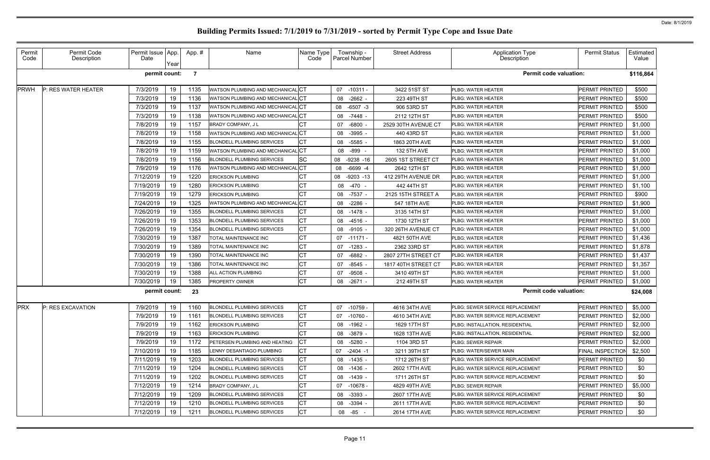| Permit<br>Code | Permit Code<br>Description | Permit Issue   App.<br>Date | Year       | App. #         | Name                              | Name Type<br>Code | Township -<br>Parcel Number | <b>Street Address</b> | <b>Application Type</b><br>Description | <b>Permit Status</b>    | Estimated<br>Value |
|----------------|----------------------------|-----------------------------|------------|----------------|-----------------------------------|-------------------|-----------------------------|-----------------------|----------------------------------------|-------------------------|--------------------|
|                |                            | permit count:               |            | $\overline{7}$ |                                   |                   |                             |                       | <b>Permit code valuation:</b>          |                         | \$116,864          |
| <b>PRWH</b>    | P: RES WATER HEATER        | 7/3/2019                    | 19         | 1135           | WATSON PLUMBING AND MECHANICAL CT |                   | 07<br>$-10311 -$            | 3422 51ST ST          | PLBG: WATER HEATER                     | PERMIT PRINTED          | \$500              |
|                |                            | 7/3/2019                    | 19         | 1136           | WATSON PLUMBING AND MECHANICAL CT |                   | $-2662 -$<br>08             | 223 49TH ST           | PLBG: WATER HEATER                     | PERMIT PRINTED          | \$500              |
|                |                            | 7/3/2019                    | 19         | 1137           | WATSON PLUMBING AND MECHANICAL CT |                   | 08<br>$-6507 -3$            | 906 53RD ST           | PLBG: WATER HEATER                     | PERMIT PRINTED          | \$500              |
|                |                            | 7/3/2019                    | 19         | 1138           | WATSON PLUMBING AND MECHANICAL CT |                   | $-7448$ -<br>08             | 2112 12TH ST          | PLBG: WATER HEATER                     | PERMIT PRINTED          | \$500              |
|                |                            | 7/8/2019                    | 19         | 1157           | <b>BRADY COMPANY, JL</b>          |                   | $-6800$<br>07               | 2529 30TH AVENUE CT   | PLBG: WATER HEATER                     | PERMIT PRINTED          | \$1,000            |
|                |                            | 7/8/2019                    | 19         | 1158           | WATSON PLUMBING AND MECHANICAL CT |                   | $-3995 -$<br>08             | 440 43RD ST           | PLBG: WATER HEATER                     | PERMIT PRINTED          | \$1,000            |
|                |                            | 7/8/2019                    | 19         | 1155           | <b>BLONDELL PLUMBING SERVICES</b> |                   | $-5585$<br>08               | 1863 20TH AVE         | PLBG: WATER HEATER                     | PERMIT PRINTED          | \$1,000            |
|                |                            | 7/8/2019                    | 19         | 1159           | WATSON PLUMBING AND MECHANICAL CT |                   | -899 -<br>08                | 132 5TH AVE           | PLBG: WATER HEATER                     | PERMIT PRINTED          | \$1,000            |
|                |                            | 7/8/2019                    | 19         | 1156           | <b>BLONDELL PLUMBING SERVICES</b> | <b>SC</b>         | $-9238 - 16$<br>08          | 2605 1ST STREET CT    | PLBG: WATER HEATER                     | PERMIT PRINTED          | \$1,000            |
|                |                            | 7/9/2019                    | 19         | 1176           | WATSON PLUMBING AND MECHANICAL CT |                   | 08<br>$-6699 - 4$           | 2642 12TH ST          | PLBG: WATER HEATER                     | PERMIT PRINTED          | \$1,000            |
|                |                            | 7/12/2019                   | 19         | 1220           | <b>ERICKSON PLUMBING</b>          |                   | 08<br>$-9203 - 13$          | 412 29TH AVENUE DR    | PLBG: WATER HEATER                     | PERMIT PRINTED          | \$1,000            |
|                |                            | 7/19/2019                   | 19         | 1280           | <b>ERICKSON PLUMBING</b>          | СT                | $-470 -$<br>08              | 442 44TH ST           | PLBG: WATER HEATER                     | PERMIT PRINTED          | \$1,100            |
|                |                            | 7/19/2019                   | 19         | 1279           | <b>ERICKSON PLUMBING</b>          | <b>CT</b>         | 08<br>-7537 -               | 2125 15TH STREET A    | PLBG: WATER HEATER                     | PERMIT PRINTED          | \$900              |
|                |                            | 7/24/2019                   | 19         | 1325           | WATSON PLUMBING AND MECHANICAL CT |                   | $-2286$ -<br>08             | 547 18TH AVE          | PLBG: WATER HEATER                     | PERMIT PRINTED          | \$1,900            |
|                |                            | 7/26/2019                   | 19         | 1355           | <b>BLONDELL PLUMBING SERVICES</b> |                   | 08<br>-1478 -               | 3135 14TH ST          | PLBG: WATER HEATER                     | PERMIT PRINTED          | \$1,000            |
|                |                            | 7/26/2019                   | 19         | 1353           | <b>BLONDELL PLUMBING SERVICES</b> | СT                | 08<br>-4516 -               | 1730 12TH ST          | PLBG: WATER HEATER                     | <b>PERMIT PRINTED</b>   | \$1,000            |
|                |                            | 7/26/2019                   | 19         | 1354           | <b>BLONDELL PLUMBING SERVICES</b> | <b>CT</b>         | $-9105 -$<br>08             | 320 26TH AVENUE CT    | PLBG: WATER HEATER                     | PERMIT PRINTED          | \$1,000            |
|                |                            | 7/30/2019                   | 19         | 1387           | TOTAL MAINTENANCE INC             | СT                | 07<br>-11171 -              | 4821 50TH AVE         | PLBG: WATER HEATER                     | <b>PERMIT PRINTED</b>   | \$1,436            |
|                |                            | 7/30/2019                   | 19         | 1389           | TOTAL MAINTENANCE INC             | <b>CT</b>         | $-1283 -$<br>07             | 2362 33RD ST          | PLBG: WATER HEATER                     | PERMIT PRINTED          | \$1,878            |
|                |                            | 7/30/2019                   | 19         | 1390           | TOTAL MAINTENANCE INC             | СT                | $-6882$<br>07               | 2807 27TH STREET CT   | PLBG: WATER HEATER                     | <b>PERMIT PRINTED</b>   | \$1,437            |
|                |                            | 7/30/2019                   | 19         | 1386           | TOTAL MAINTENANCE INC             | <b>CT</b>         | $-8545 -$<br>07             | 1817 40TH STREET CT   | <b>PLBG: WATER HEATER</b>              | PERMIT PRINTED          | \$1,357            |
|                |                            | 7/30/2019                   | 19         | 1388           | ALL ACTION PLUMBING               | СT                | $-9508 -$<br>07             | 3410 49TH ST          | PLBG: WATER HEATER                     | <b>PERMIT PRINTED</b>   | \$1,000            |
|                |                            | 7/30/2019                   | 19         | 1385           | PROPERTY OWNER                    | Iст               | 08<br>$-2671$               | 212 49TH ST           | PLBG: WATER HEATER                     | PERMIT PRINTED          | \$1,000            |
|                |                            | permit count:               |            | 23             |                                   |                   |                             |                       | <b>Permit code valuation:</b>          |                         | \$24,008           |
| <b>PRX</b>     | P: RES EXCAVATION          | 7/9/2019                    | $\vert$ 19 | 1160           | <b>BLONDELL PLUMBING SERVICES</b> | $\sim$ $+$<br>IJЧ | 07 -10759 -                 | 4616 34TH AVE         | PLBG: SEWER SERVICE REPLACEMENT        | PERMIT PRINTED          | \$5,000            |
|                |                            | 7/9/2019                    | 19         | 1161           | <b>BLONDELL PLUMBING SERVICES</b> |                   | 07 -10760 -                 | 4610 34TH AVE         | PLBG: WATER SERVICE REPLACEMENT        | PERMIT PRINTED          | \$2,000            |
|                |                            | 7/9/2019                    | 19         | 1162           | <b>ERICKSON PLUMBING</b>          |                   | 08 -1962 -                  | 1629 17TH ST          | PLBG: INSTALLATION, RESIDENTIAL        | PERMIT PRINTED          | \$2,000            |
|                |                            | 7/9/2019                    | 19         | 1163           | <b>ERICKSON PLUMBING</b>          |                   | 08<br>-3879 -               | 1628 13TH AVE         | PLBG: INSTALLATION, RESIDENTIAL        | PERMIT PRINTED          | \$2,000            |
|                |                            | 7/9/2019                    | 19         | 1172           | PETERSEN PLUMBING AND HEATING     |                   | 08<br>-5280 -               | 1104 3RD ST           | PLBG: SEWER REPAIR                     | <b>PERMIT PRINTED</b>   | \$2,000            |
|                |                            | 7/10/2019                   | 19         | 1185           | LENNY DESANTIAGO PLUMBING         |                   | 07 -2404 -1                 | 3211 39TH ST          | PLBG: WATER/SEWER MAIN                 | <b>FINAL INSPECTION</b> | \$2,500            |
|                |                            | 7/11/2019                   | 19         | 1203           | <b>BLONDELL PLUMBING SERVICES</b> | СT                | 08 -1435 -                  | 1712 26TH ST          | PLBG: WATER SERVICE REPLACEMENT        | <b>PERMIT PRINTED</b>   | \$0                |
|                |                            | 7/11/2019                   | 19         | 1204           | <b>BLONDELL PLUMBING SERVICES</b> | <b>CT</b>         | 08 -1436 -                  | 2602 17TH AVE         | PLBG: WATER SERVICE REPLACEMENT        | PERMIT PRINTED          | \$0                |
|                |                            | 7/11/2019                   | 19         | 1202           | <b>BLONDELL PLUMBING SERVICES</b> | СT                | 08 -1439 -                  | 1711 26TH ST          | PLBG: WATER SERVICE REPLACEMENT        | <b>PERMIT PRINTED</b>   | \$0                |
|                |                            | 7/12/2019                   | 19         | 1214           | <b>BRADY COMPANY, JL</b>          | СT                | 07<br>-10678 -              | 4829 49TH AVE         | PLBG: SEWER REPAIR                     | PERMIT PRINTED          | \$5,000            |
|                |                            | 7/12/2019                   | 19         | 1209           | <b>BLONDELL PLUMBING SERVICES</b> |                   | 08<br>$-3393 -$             | 2607 17TH AVE         | PLBG: WATER SERVICE REPLACEMENT        | PERMIT PRINTED          | \$0                |
|                |                            | 7/12/2019                   | 19         | 1210           | <b>BLONDELL PLUMBING SERVICES</b> | СT                | $-3394 -$<br>08             | 2611 17TH AVE         | PLBG: WATER SERVICE REPLACEMENT        | PERMIT PRINTED          | \$0                |
|                |                            | 7/12/2019                   | 19         | 1211           | <b>BLONDELL PLUMBING SERVICES</b> | СT                | 08 - 85 -                   | 2614 17TH AVE         | PLBG: WATER SERVICE REPLACEMENT        | <b>PERMIT PRINTED</b>   | \$0                |